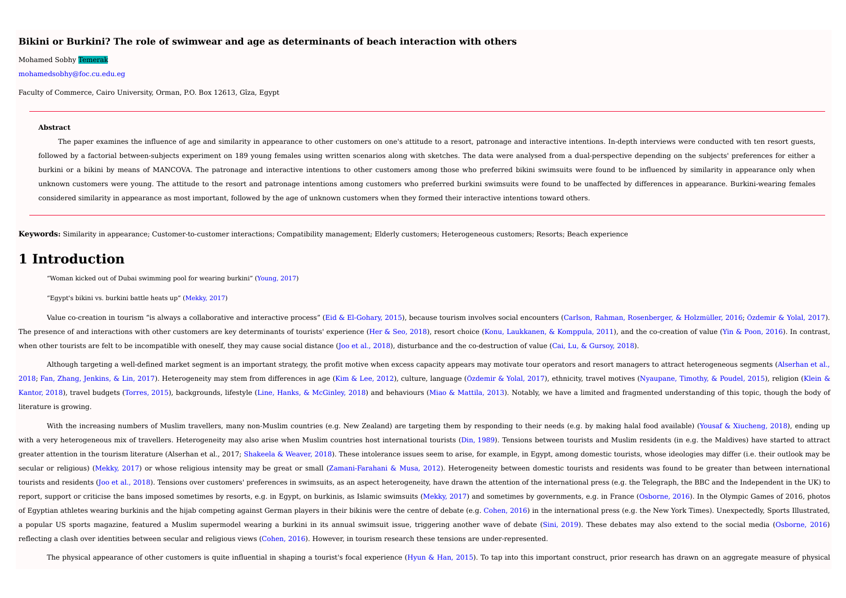#### **Bikini or Burkini? The role of swimwear and age as determinants of beach interaction with others**

#### Mohamed Sobhy Temerak

#### mohamedsobhy@foc.cu.edu.eg

Faculty of Commerce, Cairo University, Orman, P.O. Box 12613, Gîza, Egypt

#### **Abstract**

The paper examines the influence of age and similarity in appearance to other customers on one's attitude to a resort, patronage and interactive intentions. In-depth interviews were conducted with ten resort guests, followed by a factorial between-subjects experiment on 189 young females using written scenarios along with sketches. The data were analysed from a dual-perspective depending on the subjects' preferences for either a burkini or a bikini by means of MANCOVA. The patronage and interactive intentions to other customers among those who preferred bikini swimsuits were found to be influenced by similarity in appearance only when unknown customers were young. The attitude to the resort and patronage intentions among customers who preferred burkini swimsuits were found to be unaffected by differences in appearance. Burkini-wearing females considered similarity in appearance as most important, followed by the age of unknown customers when they formed their interactive intentions toward others.

**Keywords:** Similarity in appearance; Customer-to-customer interactions; Compatibility management; Elderly customers; Heterogeneous customers; Resorts; Beach experience

## **1 Introduction**

"Woman kicked out of Dubai swimming pool for wearing burkini" (Young, 2017)

"Egypt's bikini vs. burkini battle heats up" (Mekky, 2017)

Value co-creation in tourism "is always a collaborative and interactive process" (Eid & El-Gohary, 2015), because tourism involves social encounters (Carlson, Rahman, Rosenberger, & Holzmüller, 2016; Özdemir & Yolal, 2017) The presence of and interactions with other customers are key determinants of tourists' experience (Her & Seo, 2018), resort choice (Konu, Laukkanen, & Komppula, 2011), and the co-creation of value (Yin & Poon, 2016). In c when other tourists are felt to be incompatible with oneself, they may cause social distance (Joo et al., 2018), disturbance and the co-destruction of value (Cai, Lu, & Gursoy, 2018).

Although targeting a well-defined market segment is an important strategy, the profit motive when excess capacity appears may motivate tour operators and resort managers to attract heterogeneous segments (Alserhan et al., 2018; Fan, Zhang, Jenkins, & Lin, 2017). Heterogeneity may stem from differences in age (Kim & Lee, 2012), culture, language (Özdemir & Yolal, 2017), ethnicity, travel motives (Nyaupane, Timothy, & Poudel, 2015), religion Kantor, 2018), travel budgets (Torres, 2015), backgrounds, lifestyle (Line, Hanks, & McGinley, 2018) and behaviours (Miao & Mattila, 2013). Notably, we have a limited and fragmented understanding of this topic, though the literature is growing.

With the increasing numbers of Muslim travellers, many non-Muslim countries (e.g. New Zealand) are targeting them by responding to their needs (e.g. by making halal food available) (Yousaf & Xiucheng, 2018), ending up with a very heterogeneous mix of travellers. Heterogeneity may also arise when Muslim countries host international tourists (Din, 1989). Tensions between tourists and Muslim residents (in e.g. the Maldives) have started to greater attention in the tourism literature (Alserhan et al., 2017; Shakeela & Weaver, 2018). These intolerance issues seem to arise, for example, in Egypt, among domestic tourists, whose ideologies may differ (i.e. their secular or religious) (Mekky, 2017) or whose religious intensity may be great or small (Zamani-Farahani & Musa, 2012). Heterogeneity between domestic tourists and residents was found to be greater than between internationa tourists and residents (Joo et al., 2018). Tensions over customers' preferences in swimsuits, as an aspect heterogeneity, have drawn the attention of the international press (e.g. the Telegraph, the BBC and the Independent report, support or criticise the bans imposed sometimes by resorts, e.g. in Egypt, on burkinis, as Islamic swimsuits (Mekky, 2017) and sometimes by governments, e.g. in France (Osborne, 2016). In the Olympic Games of 2016, of Eqyptian athletes wearing burkinis and the hijab competing against German players in their bikinis were the centre of debate (e.g. Cohen, 2016) in the international press (e.g. the New York Times). Unexpectedly, Sports a popular US sports magazine, featured a Muslim supermodel wearing a burkini in its annual swimsuit issue, triggering another wave of debate (Sini, 2019). These debates may also extend to the social media (Osborne, 2016) reflecting a clash over identities between secular and religious views (Cohen, 2016). However, in tourism research these tensions are under-represented.

The physical appearance of other customers is quite influential in shaping a tourist's focal experience (Hyun & Han, 2015). To tap into this important construct, prior research has drawn on an aggregate measure of physical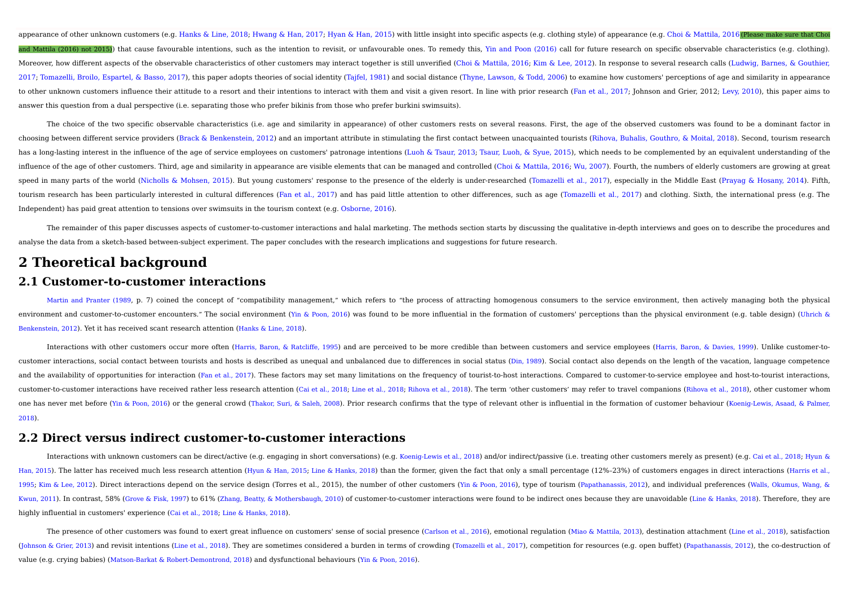appearance of other unknown customers (e.g. Hanks & Line, 2018; Hwang & Han, 2017; Hyan & Han, 2015) with little insight into specific aspects (e.g. clothing style) of appearance (e.g. Choi & Mattila, 2016(Please make sure and Mattila (2016) not 2015)) that cause favourable intentions, such as the intention to revisit, or unfavourable ones. To remedy this, Yin and Poon (2016) call for future research on specific observable characteristics (e Moreover, how different aspects of the observable characteristics of other customers may interact together is still unverified (Choi & Mattila, 2016; Kim & Lee, 2012). In response to several research calls (Ludwig, Barnes, 2017; Tomazelli, Broilo, Espartel, & Basso, 2017), this paper adopts theories of social identity (Tajfel, 1981) and social distance (Thyne, Lawson, & Todd, 2006) to examine how customers' perceptions of age and similarity to other unknown customers influence their attitude to a resort and their intentions to interact with them and visit a given resort. In line with prior research (Fan et al., 2017; Johnson and Grier, 2012; Levy, 2010), this answer this question from a dual perspective (i.e. separating those who prefer bikinis from those who prefer burkini swimsuits).

The choice of the two specific observable characteristics (i.e. age and similarity in appearance) of other customers rests on several reasons. First, the age of the observed customers was found to be a dominant factor in choosing between different service providers (Brack & Benkenstein, 2012) and an important attribute in stimulating the first contact between unacquainted tourists (Rihova, Buhalis, Gouthro, & Moital, 2018). Second, tourism has a long-lasting interest in the influence of the age of service employees on customers' patronage intentions (Luoh & Tsaur, 2013; Tsaur, Luoh, & Syue, 2015), which needs to be complemented by an equivalent understanding influence of the age of other customers. Third, age and similarity in appearance are visible elements that can be managed and controlled (Choi & Mattila, 2016; Wu, 2007). Fourth, the numbers of elderly customers are growin speed in many parts of the world (Nicholls & Mohsen, 2015). But young customers' response to the presence of the elderly is under-researched (Tomazelli et al., 2017), especially in the Middle East (Prayag & Hosany, 2014). tourism research has been particularly interested in cultural differences (Fan et al., 2017) and has paid little attention to other differences, such as age (Tomazelli et al., 2017) and clothing. Sixth, the international p Independent) has paid great attention to tensions over swimsuits in the tourism context (e.g. Osborne, 2016).

The remainder of this paper discusses aspects of customer-to-customer interactions and halal marketing. The methods section starts by discussing the qualitative in-depth interviews and goes on to describe the procedures an analyse the data from a sketch-based between-subject experiment. The paper concludes with the research implications and suggestions for future research.

## **2 Theoretical background**

## **2.1 Customer-to-customer interactions**

Martin and Pranter (1989, p. 7) coined the concept of "compatibility management," which refers to "the process of attracting homogenous consumers to the service environment, then actively managing both the physical environment and customer-to-customer encounters." The social environment (Yin & Poon, 2016) was found to be more influential in the formation of customers' perceptions than the physical environment (e.g. table design) (Uh Benkenstein, 2012). Yet it has received scant research attention (Hanks & Line, 2018).

Interactions with other customers occur more often (Harris, Baron, & Ratcliffe, 1995) and are perceived to be more credible than between customers and service employees (Harris, Baron, & Davies, 1999). Unlike customer-tocustomer interactions, social contact between tourists and hosts is described as unequal and unbalanced due to differences in social status (Din, 1989). Social contact also depends on the length of the vacation, language c and the availability of opportunities for interaction (Fan et al., 2017). These factors may set many limitations on the frequency of tourist-to-host interactions. Compared to customer-to-service employee and host-to-touris customer-to-customer interactions have received rather less research attention (Cai et al., 2018; Line et al., 2018; Rihova et al., 2018). The term 'other customers' may refer to travel companions (Rihova et al., 2018), ot one has never met before (Yin & Poon, 2016) or the general crowd (Thakor, Suri, & Saleh, 2008). Prior research confirms that the type of relevant other is influential in the formation of customer behaviour (Koenig-Lewis, A 2018).

### **2.2 Direct versus indirect customer-to-customer interactions**

Interactions with unknown customers can be direct/active (e.g. engaging in short conversations) (e.g. Koenig-Lewis et al., 2018) and/or indirect/passive (i.e. treating other customers merely as present) (e.g. Cai et al., 2 Han, 2015). The latter has received much less research attention (Hyun & Han, 2015; Line & Hanks, 2018) than the former, given the fact that only a small percentage (12%-23%) of customers engages in direct interactions (Ha 1995; Kim & Lee, 2012). Direct interactions depend on the service design (Torres et al., 2015), the number of other customers (Yin & Poon, 2016), type of tourism (Papathanassis, 2012), and individual preferences (Walls, Ok Kwun, 2011). In contrast, 58% (Grove & Fisk, 1997) to 61% (Zhang, Beatty, & Mothersbaugh, 2010) of customer-to-customer interactions were found to be indirect ones because they are unavoidable (Line & Hanks, 2018). Therefo highly influential in customers' experience (Cai et al., 2018; Line & Hanks, 2018).

The presence of other customers was found to exert great influence on customers' sense of social presence (Carlson et al., 2016), emotional regulation (Miao & Mattila, 2013), destination attachment (Line et al., 2018), sat (Johnson & Grier, 2013) and revisit intentions (Line et al., 2018). They are sometimes considered a burden in terms of crowding (Tomazelli et al., 2017), competition for resources (e.g. open buffet) (Papathanassis, 2012), value (e.g. crying babies) (Matson-Barkat & Robert-Demontrond, 2018) and dysfunctional behaviours (Yin & Poon, 2016).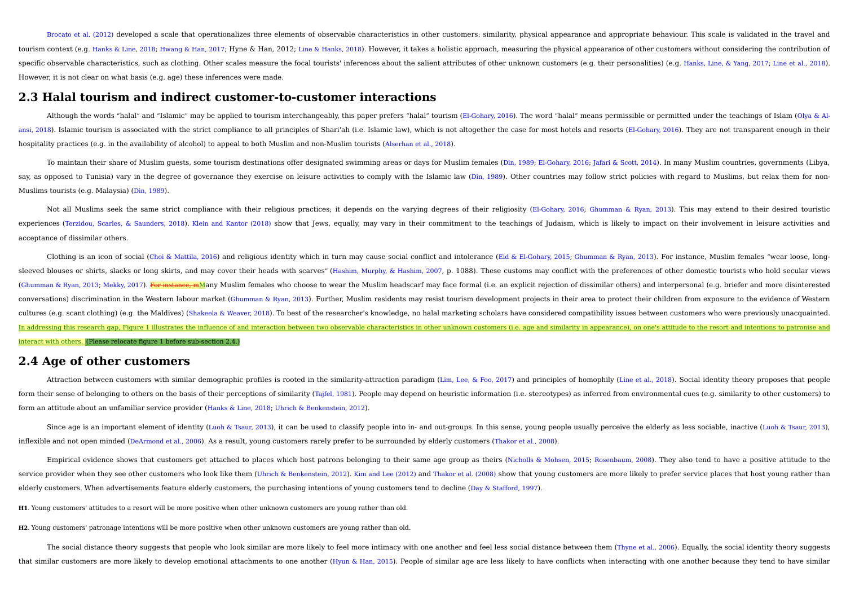Brocato et al. (2012) developed a scale that operationalizes three elements of observable characteristics in other customers: similarity, physical appearance and appropriate behaviour. This scale is validated in the travel tourism context (e.g. Hanks & Line, 2018; Hwang & Han, 2017; Hyne & Han, 2012; Line & Hanks, 2018). However, it takes a holistic approach, measuring the physical appearance of other customers without considering the contri specific observable characteristics, such as clothing. Other scales measure the focal tourists' inferences about the salient attributes of other unknown customers (e.g. their personalities) (e.g. Hanks, Line, & Yang, 2017; However, it is not clear on what basis (e.g. age) these inferences were made.

### **2.3 Halal tourism and indirect customer-to-customer interactions**

Although the words "halal" and "Islamic" may be applied to tourism interchangeably, this paper prefers "halal" tourism (El-Gohary, 2016). The word "halal" means permissible or permitted under the teachings of Islam (Olya & ansi, 2018). Islamic tourism is associated with the strict compliance to all principles of Shari'ah (i.e. Islamic law), which is not altogether the case for most hotels and resorts (El-Gohary, 2016). They are not transpare hospitality practices (e.g. in the availability of alcohol) to appeal to both Muslim and non-Muslim tourists (Alserhan et al., 2018).

To maintain their share of Muslim quests, some tourism destinations offer designated swimming areas or days for Muslim females (Din, 1989; El-Gohary, 2016; Jafari & Scott, 2014). In many Muslim countries, governments (Liby say, as opposed to Tunisia) vary in the degree of governance they exercise on leisure activities to comply with the Islamic law (Din, 1989). Other countries may follow strict policies with regard to Muslims, but relax them Muslims tourists (e.g. Malaysia) (Din, 1989).

Not all Muslims seek the same strict compliance with their religious practices; it depends on the varying degrees of their religiosity (El-Gohary, 2016; Ghumman & Ryan, 2013). This may extend to their desired touristic experiences (Terzidou, Scarles, & Saunders, 2018). Klein and Kantor (2018) show that Jews, equally, may vary in their commitment to the teachings of Judaism, which is likely to impact on their involvement in leisure activi acceptance of dissimilar others.

Clothing is an icon of social (Choi & Mattila, 2016) and religious identity which in turn may cause social conflict and intolerance (Eid & El-Gohary, 2015; Ghumman & Ryan, 2013). For instance, Muslim females "wear loose, l sleeved blouses or shirts, slacks or long skirts, and may cover their heads with scarves" (Hashim, Murphy, & Hashim, 2007, p. 1088). These customs may conflict with the preferences of other domestic tourists who hold secul (Ghumman & Ryan, 2013; Mekky, 2017). For instance, mMany Muslim females who choose to wear the Muslim headscarf may face formal (i.e. an explicit rejection of dissimilar others) and interpersonal (e.g. briefer and more dis conversations) discrimination in the Western labour market (Ghumman & Ryan, 2013). Further, Muslim residents may resist tourism development projects in their area to protect their children from exposure to the evidence of cultures (e.g. scant clothing) (e.g. the Maldives) (Shakeela & Weaver, 2018). To best of the researcher's knowledge, no halal marketing scholars have considered compatibility issues between customers who were previously un In addressing this research gap, Figure 1 illustrates the influence of and interaction between two observable characteristics in other unknown customers (i.e. age and similarity in appearance), on one's attitude to the res interact with others. (Please relocate figure 1 before sub-section 2.4.)

## **2.4 Age of other customers**

Attraction between customers with similar demographic profiles is rooted in the similarity-attraction paradigm (Lim, Lee, & Foo, 2017) and principles of homophily (Line et al., 2018). Social identity theory proposes that p form their sense of belonging to others on the basis of their perceptions of similarity (Tajfel, 1981). People may depend on heuristic information (i.e. stereotypes) as inferred from environmental cues (e.g. similarity to form an attitude about an unfamiliar service provider (Hanks & Line, 2018; Uhrich & Benkenstein, 2012).

Since age is an important element of identity (Luoh & Tsaur, 2013), it can be used to classify people into in- and out-groups. In this sense, young people usually perceive the elderly as less sociable, inactive (Luoh & Tsa inflexible and not open minded (DeArmond et al., 2006). As a result, young customers rarely prefer to be surrounded by elderly customers (Thakor et al., 2008).

Empirical evidence shows that customers get attached to places which host patrons belonging to their same age group as theirs (Nicholls & Mohsen, 2015; Rosenbaum, 2008). They also tend to have a positive attitude to the service provider when they see other customers who look like them (Uhrich & Benkenstein, 2012). Kim and Lee (2012) and Thakor et al. (2008) show that young customers are more likely to prefer service places that host young elderly customers. When advertisements feature elderly customers, the purchasing intentions of young customers tend to decline (Day & Stafford, 1997).

**H1**. Young customers' attitudes to a resort will be more positive when other unknown customers are young rather than old.

**H2**. Young customers' patronage intentions will be more positive when other unknown customers are young rather than old.

The social distance theory suggests that people who look similar are more likely to feel more intimacy with one another and feel less social distance between them (Thyne et al., 2006). Equally, the social identity theory s that similar customers are more likely to develop emotional attachments to one another (Hyun & Han, 2015). People of similar age are less likely to have conflicts when interacting with one another because they tend to have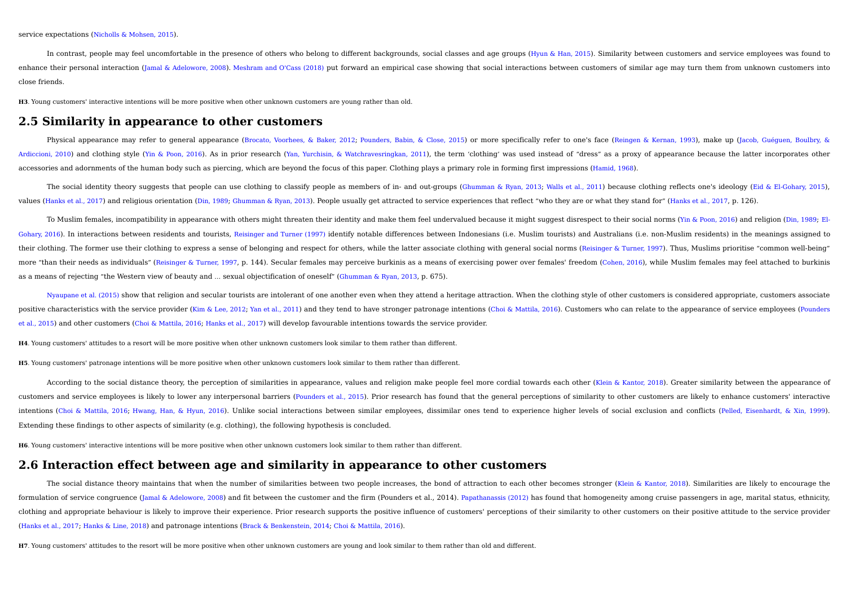service expectations (Nicholls & Mohsen, 2015).

In contrast, people may feel uncomfortable in the presence of others who belong to different backgrounds, social classes and age groups (Hyun & Han, 2015). Similarity between customers and service employees was found to enhance their personal interaction (Jamal & Adelowore, 2008). Meshram and O'Cass (2018) put forward an empirical case showing that social interactions between customers of similar age may turn them from unknown customers close friends.

**H3**. Young customers' interactive intentions will be more positive when other unknown customers are young rather than old.

## **2.5 Similarity in appearance to other customers**

Physical appearance may refer to general appearance (Brocato, Voorhees, & Baker, 2012; Pounders, Babin, & Close, 2015) or more specifically refer to one's face (Reingen & Kernan, 1993), make up (Jacob, Guéguen, Boulbry, & Ardiccioni, 2010) and clothing style (Yin & Poon, 2016). As in prior research (Yan, Yurchisin, & Watchravesringkan, 2011), the term 'clothing' was used instead of "dress" as a proxy of appearance because the latter incorpo accessories and adornments of the human body such as piercing, which are beyond the focus of this paper. Clothing plays a primary role in forming first impressions (Hamid, 1968).

The social identity theory suggests that people can use clothing to classify people as members of in- and out-groups (Ghumman & Ryan, 2013; Walls et al., 2011) because clothing reflects one's ideology (Eid & El-Gohary, 201 values (Hanks et al., 2017) and religious orientation (Din, 1989; Ghumman & Ryan, 2013). People usually get attracted to service experiences that reflect "who they are or what they stand for" (Hanks et al., 2017, p. 126).

To Muslim females, incompatibility in appearance with others might threaten their identity and make them feel undervalued because it might suggest disrespect to their social norms (Yin & Poon, 2016) and religion (Din, 1989 Gohary, 2016). In interactions between residents and tourists, Reisinger and Turner (1997) identify notable differences between Indonesians (i.e. Muslim tourists) and Australians (i.e. non-Muslim residents) in the meanings their clothing. The former use their clothing to express a sense of belonging and respect for others, while the latter associate clothing with general social norms (Reisinger & Turner, 1997). Thus, Muslims prioritise "comm more "than their needs as individuals" (Reisinger & Turner, 1997, p. 144). Secular females may perceive burkinis as a means of exercising power over females' freedom (Cohen, 2016), while Muslim females may feel attached to as a means of rejecting "the Western view of beauty and … sexual objectification of oneself" (Ghumman & Ryan, 2013, p. 675).

Nyaupane et al. (2015) show that religion and secular tourists are intolerant of one another even when they attend a heritage attraction. When the clothing style of other customers is considered appropriate, customers asso positive characteristics with the service provider (Kim & Lee, 2012; Yan et al., 2011) and they tend to have stronger patronage intentions (Choi & Mattila, 2016). Customers who can relate to the appearance of service emplo et al., 2015) and other customers (Choi & Mattila, 2016; Hanks et al., 2017) will develop favourable intentions towards the service provider.

**H4**. Young customers' attitudes to a resort will be more positive when other unknown customers look similar to them rather than different.

**H5**. Young customers' patronage intentions will be more positive when other unknown customers look similar to them rather than different.

According to the social distance theory, the perception of similarities in appearance, values and religion make people feel more cordial towards each other (Klein & Kantor, 2018). Greater similarity between the appearance customers and service employees is likely to lower any interpersonal barriers (Pounders et al., 2015). Prior research has found that the general perceptions of similarity to other customers are likely to enhance customers' intentions (Choi & Mattila, 2016; Hwang, Han, & Hyun, 2016). Unlike social interactions between similar employees, dissimilar ones tend to experience higher levels of social exclusion and conflicts (Pelled, Eisenhardt, & X Extending these findings to other aspects of similarity (e.g. clothing), the following hypothesis is concluded.

**H6**. Young customers' interactive intentions will be more positive when other unknown customers look similar to them rather than different.

## **2.6 Interaction effect between age and similarity in appearance to other customers**

The social distance theory maintains that when the number of similarities between two people increases, the bond of attraction to each other becomes stronger (Klein & Kantor, 2018). Similarities are likely to encourage the formulation of service congruence (Jamal & Adelowore, 2008) and fit between the customer and the firm (Pounders et al., 2014). Papathanassis (2012) has found that homogeneity among cruise passengers in age, marital status, clothing and appropriate behaviour is likely to improve their experience. Prior research supports the positive influence of customers' perceptions of their similarity to other customers on their positive attitude to the se (Hanks et al., 2017; Hanks & Line, 2018) and patronage intentions (Brack & Benkenstein, 2014; Choi & Mattila, 2016).

**H7**. Young customers' attitudes to the resort will be more positive when other unknown customers are young and look similar to them rather than old and different.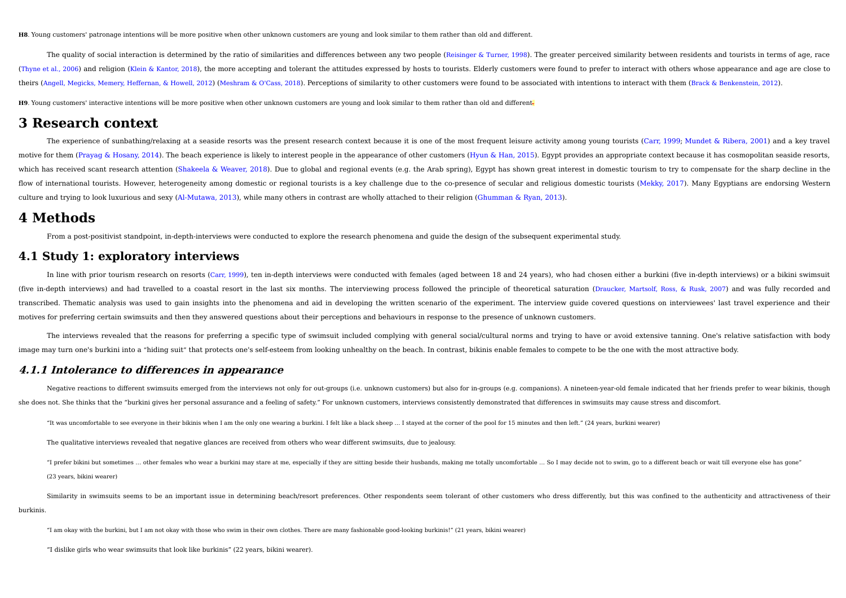**H8**. Young customers' patronage intentions will be more positive when other unknown customers are young and look similar to them rather than old and different.

The quality of social interaction is determined by the ratio of similarities and differences between any two people (Reisinger & Turner, 1998). The greater perceived similarity between residents and tourists in terms of ag (Thyne et al., 2006) and religion (Klein & Kantor, 2018), the more accepting and tolerant the attitudes expressed by hosts to tourists. Elderly customers were found to prefer to interact with others whose appearance and ag theirs (Angell, Megicks, Memery, Heffernan, & Howell, 2012) (Meshram & O'Cass, 2018). Perceptions of similarity to other customers were found to be associated with intentions to interact with them (Brack & Benkenstein, 201

**H9**. Young customers' interactive intentions will be more positive when other unknown customers are young and look similar to them rather than old and different.

# **3 Research context**

The experience of sunbathing/relaxing at a seaside resorts was the present research context because it is one of the most frequent leisure activity among young tourists (Carr, 1999; Mundet & Ribera, 2001) and a key travel motive for them (Prayag & Hosany, 2014). The beach experience is likely to interest people in the appearance of other customers (Hyun & Han, 2015). Egypt provides an appropriate context because it has cosmopolitan seaside which has received scant research attention (Shakeela & Weaver, 2018). Due to global and regional events (e.g. the Arab spring), Egypt has shown great interest in domestic tourism to try to compensate for the sharp decline flow of international tourists. However, heterogeneity among domestic or regional tourists is a key challenge due to the co-presence of secular and religious domestic tourists (Mekky, 2017). Many Egyptians are endorsing We culture and trying to look luxurious and sexy (Al-Mutawa, 2013), while many others in contrast are wholly attached to their religion (Ghumman & Ryan, 2013).

## **4 Methods**

From a post-positivist standpoint, in-depth-interviews were conducted to explore the research phenomena and guide the design of the subsequent experimental study.

### **4.1 Study 1: exploratory interviews**

In line with prior tourism research on resorts (Carr, 1999), ten in-depth interviews were conducted with females (aged between 18 and 24 years), who had chosen either a burkini (five in-depth interviews) or a bikini swimsu (five in-depth interviews) and had travelled to a coastal resort in the last six months. The interviewing process followed the principle of theoretical saturation (Draucker, Martsolf, Ross, & Rusk, 2007) and was fully reco transcribed. Thematic analysis was used to gain insights into the phenomena and aid in developing the written scenario of the experiment. The interview guide covered questions on interviewees' last travel experience and th motives for preferring certain swimsuits and then they answered questions about their perceptions and behaviours in response to the presence of unknown customers.

The interviews revealed that the reasons for preferring a specific type of swimsuit included complying with general social/cultural norms and trying to have or avoid extensive tanning. One's relative satisfaction with body image may turn one's burkini into a "hiding suit" that protects one's self-esteem from looking unhealthy on the beach. In contrast, bikinis enable females to compete to be the one with the most attractive body.

### **4.1.1 Intolerance to differences in appearance**

Negative reactions to different swimsuits emerged from the interviews not only for out-groups (i.e. unknown customers) but also for in-groups (e.g. companions). A nineteen-year-old female indicated that her friends prefer she does not. She thinks that the "burkini gives her personal assurance and a feeling of safety." For unknown customers, interviews consistently demonstrated that differences in swimsuits may cause stress and discomfort.

"It was uncomfortable to see everyone in their bikinis when I am the only one wearing a burkini. I felt like a black sheep … I stayed at the corner of the pool for 15 minutes and then left." (24 years, burkini wearer)

The qualitative interviews revealed that negative glances are received from others who wear different swimsuits, due to jealousy.

"I prefer bikini but sometimes ... other females who wear a burkini may stare at me, especially if they are sitting beside their husbands, making me totally uncomfortable ... So I may decide not to swim, go to a different (23 years, bikini wearer)

Similarity in swimsuits seems to be an important issue in determining beach/resort preferences. Other respondents seem tolerant of other customers who dress differently, but this was confined to the authenticity and attrac burkinis.

"I am okay with the burkini, but I am not okay with those who swim in their own clothes. There are many fashionable good-looking burkinis!" (21 years, bikini wearer)

"I dislike girls who wear swimsuits that look like burkinis" (22 years, bikini wearer).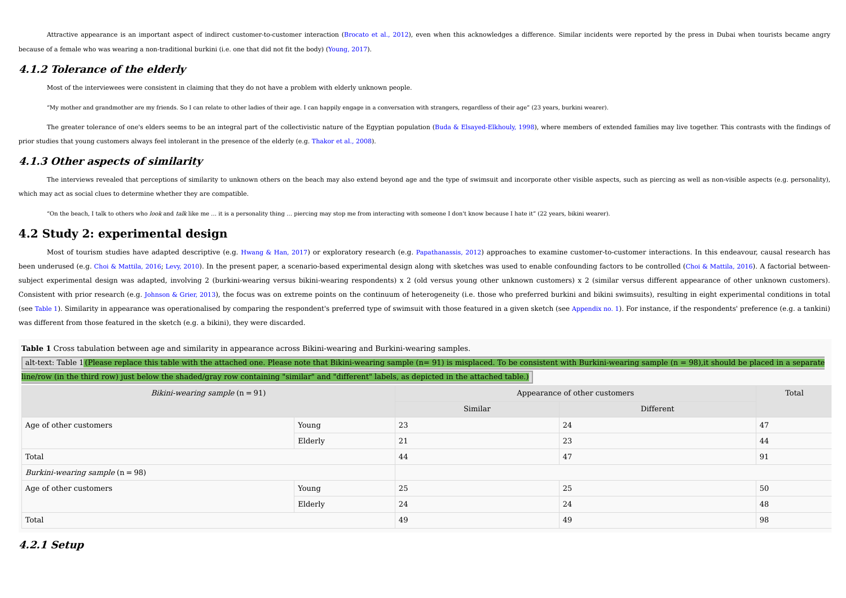Attractive appearance is an important aspect of indirect customer-to-customer interaction (Brocato et al., 2012), even when this acknowledges a difference. Similar incidents were reported by the press in Dubai when tourist because of a female who was wearing a non-traditional burkini (i.e. one that did not fit the body) (Young, 2017).

## **4.1.2 Tolerance of the elderly**

Most of the interviewees were consistent in claiming that they do not have a problem with elderly unknown people.

"My mother and grandmother are my friends. So I can relate to other ladies of their age. I can happily engage in a conversation with strangers, regardless of their age" (23 years, burkini wearer).

The greater tolerance of one's elders seems to be an integral part of the collectivistic nature of the Egyptian population (Buda & Elsayed-Elkhouly, 1998), where members of extended families may live together. This contras prior studies that young customers always feel intolerant in the presence of the elderly (e.g. Thakor et al., 2008).

## **4.1.3 Other aspects of similarity**

The interviews revealed that perceptions of similarity to unknown others on the beach may also extend beyond age and the type of swimsuit and incorporate other visible aspects, such as piercing as well as non-visible aspec which may act as social clues to determine whether they are compatible.

"On the beach, I talk to others who look and talk like me ... it is a personality thing ... piercing may stop me from interacting with someone I don't know because I hate it" (22 years, bikini wearer).

## **4.2 Study 2: experimental design**

Most of tourism studies have adapted descriptive (e.g. Hwang & Han, 2017) or exploratory research (e.g. Papathanassis, 2012) approaches to examine customer-to-customer interactions. In this endeavour, causal research has been underused (e.g. Choi & Mattila, 2016; Levy, 2010). In the present paper, a scenario-based experimental design along with sketches was used to enable confounding factors to be controlled (Choi & Mattila, 2016). A facto subject experimental design was adapted, involving 2 (burkini-wearing versus bikini-wearing respondents) x 2 (old versus young other unknown customers) x 2 (similar versus different appearance of other unknown customers). Consistent with prior research (e.g. Johnson & Grier, 2013), the focus was on extreme points on the continuum of heterogeneity (i.e. those who preferred burkini and bikini swimsuits), resulting in eight experimental condit (see Table 1). Similarity in appearance was operationalised by comparing the respondent's preferred type of swimsuit with those featured in a given sketch (see Appendix no. 1). For instance, if the respondents' preference was different from those featured in the sketch (e.g. a bikini), they were discarded.

**Table 1** Cross tabulation between age and similarity in appearance across Bikini-wearing and Burkini-wearing samples.

| alt-text: Table 1 (Please replace this table with the attached one. Please note that Bikini-wearing sample (n=91) is misplaced. To be consistent with Burkini-wearing sample (n = 98), it should be placed in a separate |                               |                               |           |  |  |  |  |  |  |  |  |
|--------------------------------------------------------------------------------------------------------------------------------------------------------------------------------------------------------------------------|-------------------------------|-------------------------------|-----------|--|--|--|--|--|--|--|--|
| line/row (in the third row) just below the shaded/gray row containing "similar" and "different" labels, as depicted in the attached table.)                                                                              |                               |                               |           |  |  |  |  |  |  |  |  |
| Bikini-wearing sample $(n = 91)$                                                                                                                                                                                         |                               | Appearance of other customers | Total     |  |  |  |  |  |  |  |  |
|                                                                                                                                                                                                                          |                               | Similar                       | Different |  |  |  |  |  |  |  |  |
| A and only only and according a solution of the second states of the second states of the second states of the                                                                                                           | $\mathbf{V}$ and $\mathbf{V}$ |                               |           |  |  |  |  |  |  |  |  |

| Age of other customers                   | Young   | 23 | 24 | 47   |
|------------------------------------------|---------|----|----|------|
|                                          | Elderly | 21 | 23 | 44   |
| Total                                    |         | 44 | 47 | - 91 |
| <i>Burkini-wearing sample</i> $(n = 98)$ |         |    |    |      |
| Age of other customers                   | Young   | 25 | 25 | 50   |
|                                          | Elderly | 24 | 24 | 48   |
| Total                                    |         | 49 | 49 | - 98 |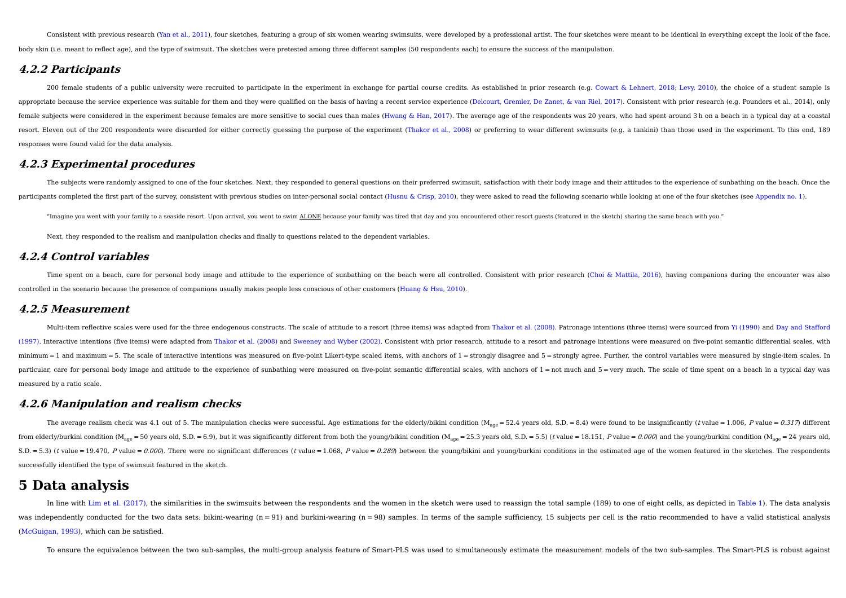Consistent with previous research (Yan et al., 2011), four sketches, featuring a group of six women wearing swimsuits, were developed by a professional artist. The four sketches were meant to be identical in everything exc body skin (i.e. meant to reflect age), and the type of swimsuit. The sketches were pretested among three different samples (50 respondents each) to ensure the success of the manipulation.

### **4.2.2 Participants**

200 female students of a public university were recruited to participate in the experiment in exchange for partial course credits. As established in prior research (e.g. Cowart & Lehnert, 2018; Levy, 2010), the choice of a appropriate because the service experience was suitable for them and they were qualified on the basis of having a recent service experience (Delcourt, Gremler, De Zanet, & van Riel, 2017). Consistent with prior research (e female subjects were considered in the experiment because females are more sensitive to social cues than males (Hwang & Han, 2017). The average age of the respondents was 20 years, who had spent around 3h on a beach in a t resort. Eleven out of the 200 respondents were discarded for either correctly quessing the purpose of the experiment (Thakor et al., 2008) or preferring to wear different swimsuits (e.g. a tankini) than those used in the e responses were found valid for the data analysis.

### **4.2.3 Experimental procedures**

The subjects were randomly assigned to one of the four sketches. Next, they responded to general questions on their preferred swimsuit, satisfaction with their body image and their attitudes to the experience of sunbathing participants completed the first part of the survey, consistent with previous studies on inter-personal social contact (Husnu & Crisp, 2010), they were asked to read the following scenario while looking at one of the four

"Imagine you went with your family to a seaside resort. Upon arrival, you went to swim ALONE because your family was tired that day and you encountered other resort quests (featured in the sketch) sharing the same beach wi

Next, they responded to the realism and manipulation checks and finally to questions related to the dependent variables.

### **4.2.4 Control variables**

Time spent on a beach, care for personal body image and attitude to the experience of sunbathing on the beach were all controlled. Consistent with prior research (Choi & Mattila, 2016), having companions during the encount controlled in the scenario because the presence of companions usually makes people less conscious of other customers (Huang & Hsu, 2010).

### **4.2.5 Measurement**

Multi-item reflective scales were used for the three endogenous constructs. The scale of attitude to a resort (three items) was adapted from Thakor et al. (2008). Patronage intentions (three items) were sourced from Yi (19 (1997). Interactive intentions (five items) were adapted from Thakor et al. (2008) and Sweeney and Wyber (2002). Consistent with prior research, attitude to a resort and patronage intentions were measured on five-point sem minimum = 1 and maximum = 5. The scale of interactive intentions was measured on five-point Likert-type scaled items, with anchors of 1 = strongly disagree and 5 = strongly agree. Further, the control variables were measur particular, care for personal body image and attitude to the experience of sunbathing were measured on five-point semantic differential scales, with anchors of 1 = not much and 5 = very much. The scale of time spent on a b measured by a ratio scale.

### **4.2.6 Manipulation and realism checks**

The average realism check was 4.1 out of 5. The manipulation checks were successful. Age estimations for the elderly/bikini condition ( $M_{\text{aqe}}$  = 52.4 years old, S.D. = 8.4) were found to be insignificantly (tvalue = 1. from elderly/burkini condition ( $M_{\text{ano}} = 50$  years old, S.D. = 6.9), but it was significantly different from both the young/bikini condition ( $M_{\text{ano}} = 25.3$  years old, S.D. = 5.5) (*t* value = 18.151, P value = 0.000) a S.D. = 5.3) (t value = 19.470, P value = 0.000). There were no significant differences (t value = 1.068, P value = 0.289) between the young/bikini and young/burkini conditions in the estimated age of the women featured in successfully identified the type of swimsuit featured in the sketch.

## **5 Data analysis**

In line with Lim et al. (2017), the similarities in the swimsuits between the respondents and the women in the sketch were used to reassign the total sample (189) to one of eight cells, as depicted in Table 1). The data an was independently conducted for the two data sets: bikini-wearing  $(n = 91)$  and burkini-wearing  $(n = 98)$  samples. In terms of the sample sufficiency, 15 subjects per cell is the ratio recommended to have a valid statistica (McGuigan, 1993), which can be satisfied.

To ensure the equivalence between the two sub-samples, the multi-group analysis feature of Smart-PLS was used to simultaneously estimate the measurement models of the two sub-samples. The Smart-PLS is robust against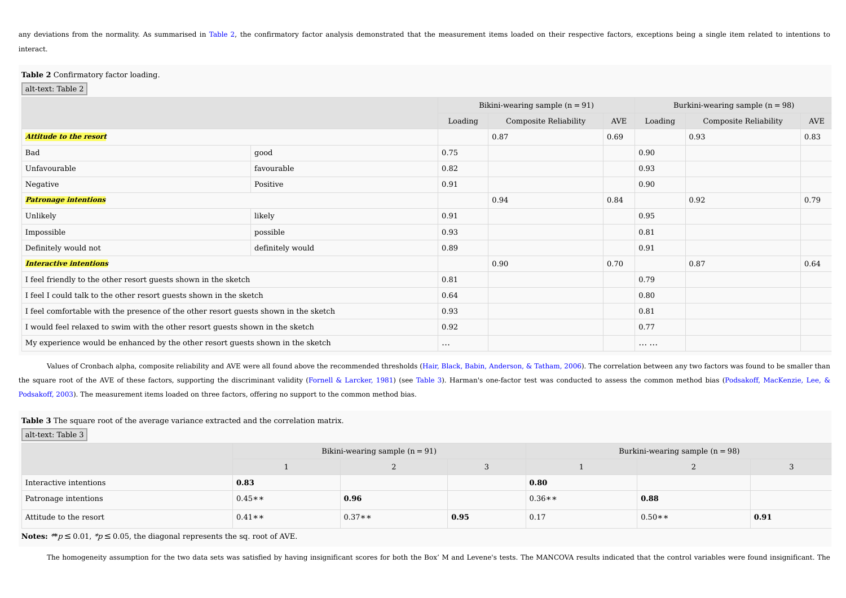any deviations from the normality. As summarised in Table 2, the confirmatory factor analysis demonstrated that the measurement items loaded on their respective factors, exceptions being a single item related to intentions interact.

#### **Table 2** Confirmatory factor loading.

alt-text: Table 2

|                                                                                     |                  |                       | Bikini-wearing sample $(n = 91)$ | Burkini-wearing sample $(n = 98)$ |                       |      |      |
|-------------------------------------------------------------------------------------|------------------|-----------------------|----------------------------------|-----------------------------------|-----------------------|------|------|
|                                                                                     | Loading          | Composite Reliability | AVE                              | Loading                           | Composite Reliability | AVE  |      |
| <b>Attitude to the resort</b>                                                       |                  |                       | 0.87                             | 0.69                              |                       | 0.93 | 0.83 |
| Bad                                                                                 | good             | 0.75                  |                                  |                                   | 0.90                  |      |      |
| Unfavourable                                                                        | favourable       | 0.82                  |                                  |                                   | 0.93                  |      |      |
| Negative                                                                            | Positive         | 0.91                  |                                  |                                   | 0.90                  |      |      |
| <b>Patronage intentions</b>                                                         |                  |                       | 0.94                             | 0.84                              |                       | 0.92 | 0.79 |
| Unlikely                                                                            | likely           | 0.91                  |                                  |                                   | 0.95                  |      |      |
| Impossible                                                                          | possible         | 0.93                  |                                  |                                   | 0.81                  |      |      |
| Definitely would not                                                                | definitely would | 0.89                  |                                  |                                   | 0.91                  |      |      |
| <b>Interactive intentions</b>                                                       |                  |                       | 0.90                             | 0.70                              |                       | 0.87 | 0.64 |
| I feel friendly to the other resort guests shown in the sketch                      |                  | 0.81                  |                                  |                                   | 0.79                  |      |      |
| I feel I could talk to the other resort guests shown in the sketch                  |                  | 0.64                  |                                  |                                   | 0.80                  |      |      |
| I feel comfortable with the presence of the other resort guests shown in the sketch |                  | 0.93                  |                                  |                                   | 0.81                  |      |      |
| I would feel relaxed to swim with the other resort guests shown in the sketch       |                  | 0.92                  |                                  |                                   | 0.77                  |      |      |
| My experience would be enhanced by the other resort quests shown in the sketch      |                  | $\cdots$              |                                  |                                   |                       |      |      |

Values of Cronbach alpha, composite reliability and AVE were all found above the recommended thresholds (Hair, Black, Babin, Anderson, & Tatham, 2006). The correlation between any two factors was found to be smaller than the square root of the AVE of these factors, supporting the discriminant validity (Fornell & Larcker, 1981) (see Table 3). Harman's one-factor test was conducted to assess the common method bias (Podsakoff, MacKenzie, Lee, Podsakoff, 2003). The measurement items loaded on three factors, offering no support to the common method bias.

#### **Table 3** The square root of the average variance extracted and the correlation matrix.

alt-text: Table 3

|                        |          | Bikini-wearing sample $(n = 91)$ |      | Burkini-wearing sample $(n = 98)$ |          |      |  |  |  |  |
|------------------------|----------|----------------------------------|------|-----------------------------------|----------|------|--|--|--|--|
|                        |          |                                  |      |                                   |          |      |  |  |  |  |
| Interactive intentions | 0.83     |                                  |      | 0.80                              |          |      |  |  |  |  |
| Patronage intentions   | $0.45**$ | 0.96                             |      | $0.36**$                          | 0.88     |      |  |  |  |  |
| Attitude to the resort | $0.41**$ | $0.37**$                         | 0.95 | 0.17                              | $0.50**$ | 0.91 |  |  |  |  |

**Notes:** \*\* $p \le 0.01$ , \* $p \le 0.05$ , the diagonal represents the sq. root of AVE.

The homogeneity assumption for the two data sets was satisfied by having insignificant scores for both the Box' M and Levene's tests. The MANCOVA results indicated that the control variables were found insignificant. The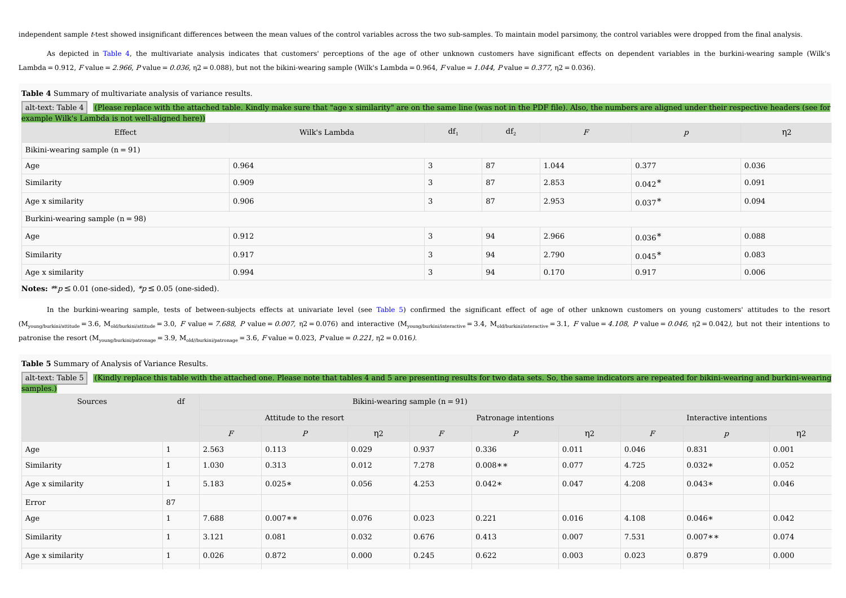independent sample *t*-test showed insignificant differences between the mean values of the control variables across the two sub-samples. To maintain model parsimony, the control variables were dropped from the final analy

As depicted in Table 4, the multivariate analysis indicates that customers' perceptions of the age of other unknown customers have significant effects on dependent variables in the burkini-wearing sample (Wilk's Lambda = 0.912, F value = 2.966, P value = 0.036,  $n = 0.088$ ), but not the bikini-wearing sample (Wilk's Lambda = 0.964, F value = 1.044, P value = 0.377,  $n = 0.036$ ).

#### **Table 4** Summary of multivariate analysis of variance results.

| alt-text: Table 4                                | (Please replace with the attached table. Kindly make sure that "age x similarity" are on the same line (was not in the PDF file). Also, the numbers are aligned under their respective headers (see for |        |        |                  |                  |          |  |  |  |  |  |  |
|--------------------------------------------------|---------------------------------------------------------------------------------------------------------------------------------------------------------------------------------------------------------|--------|--------|------------------|------------------|----------|--|--|--|--|--|--|
| example Wilk's Lambda is not well-aligned here)) |                                                                                                                                                                                                         |        |        |                  |                  |          |  |  |  |  |  |  |
| Effect                                           | Wilk's Lambda                                                                                                                                                                                           | $df_1$ | $df_2$ | $\boldsymbol{F}$ | $\boldsymbol{p}$ | $\eta$ 2 |  |  |  |  |  |  |
| Bikini-wearing sample $(n = 91)$                 |                                                                                                                                                                                                         |        |        |                  |                  |          |  |  |  |  |  |  |
| Age                                              | 0.964                                                                                                                                                                                                   | 3      | 87     | 1.044            | 0.377            | 0.036    |  |  |  |  |  |  |
| Similarity                                       | 0.909                                                                                                                                                                                                   | 3      | 87     | 2.853            | $0.042*$         | 0.091    |  |  |  |  |  |  |
| Age x similarity                                 | 0.906                                                                                                                                                                                                   | 3      | 87     | 2.953            | $0.037*$         | 0.094    |  |  |  |  |  |  |
| Burkini-wearing sample $(n = 98)$                |                                                                                                                                                                                                         |        |        |                  |                  |          |  |  |  |  |  |  |
| Age                                              | 0.912                                                                                                                                                                                                   | 3      | 94     | 2.966            | $0.036*$         | 0.088    |  |  |  |  |  |  |
| Similarity                                       | 0.917                                                                                                                                                                                                   | 3      | 94     | 2.790            | $0.045*$         | 0.083    |  |  |  |  |  |  |
| Age x similarity                                 | 0.994                                                                                                                                                                                                   | 3      | 94     | 0.170            | 0.917            | 0.006    |  |  |  |  |  |  |

**Notes:**  $* p \leq 0.01$  (one-sided),  $* p \leq 0.05$  (one-sided).

In the burkini-wearing sample, tests of between-subjects effects at univariate level (see Table 5) confirmed the significant effect of age of other unknown customers on young customers' attitudes to the resort  $(M_{\text{vound/burkini/attribute}} = 3.6, M_{\text{old/burkini/attribute}} = 3.0, F \text{ value} = 7.688, P \text{ value} = 0.007, \eta2 = 0.076)$  and interactive  $(M_{\text{young/burkini/interface}} = 3.4, M_{\text{old/burkini/interface}} = 3.1, F \text{ value} = 4.108, P \text{ value} = 0.046, \eta2 = 0.042$ , but not their intentions to patronise the resort  $(M_{\text{young/burkin/patronage}} = 3.9, M_{\text{old/burkin/patronage}} = 3.6, F$  value = 0.023, P value = 0.221, η2 = 0.016).

#### **Table 5** Summary of Analysis of Variance Results.

| alt-text: Table 5    |    |                  |                        |                     |          |                      |                     |          | (Kindly replace this table with the attached one. Please note that tables 4 and 5 are presenting results for two data sets. So, the same indicators are repeated for bikini-wearing and burkini-wearing |       |
|----------------------|----|------------------|------------------------|---------------------|----------|----------------------|---------------------|----------|---------------------------------------------------------------------------------------------------------------------------------------------------------------------------------------------------------|-------|
| samples.)<br>Sources |    |                  |                        |                     |          |                      |                     |          |                                                                                                                                                                                                         |       |
|                      |    |                  | Attitude to the resort |                     |          | Patronage intentions |                     |          | Interactive intentions                                                                                                                                                                                  |       |
|                      |    | $\boldsymbol{F}$ | $\boldsymbol{P}$       | $\eta$ <sup>2</sup> | $\cal F$ | $\boldsymbol{P}$     | $\eta$ <sub>2</sub> | $\cal F$ | $\boldsymbol{p}$                                                                                                                                                                                        | η2    |
| Age                  |    | 2.563            | 0.113                  | 0.029               | 0.937    | 0.336                | 0.011               | 0.046    | 0.831                                                                                                                                                                                                   | 0.001 |
| Similarity           |    | 1.030            | 0.313                  | 0.012               | 7.278    | $0.008**$            | 0.077               | 4.725    | $0.032*$                                                                                                                                                                                                | 0.052 |
| Age x similarity     |    | 5.183            | $0.025*$               | 0.056               | 4.253    | $0.042*$             | 0.047               | 4.208    | $0.043*$                                                                                                                                                                                                | 0.046 |
| Error                | 87 |                  |                        |                     |          |                      |                     |          |                                                                                                                                                                                                         |       |
| Age                  |    | 7.688            | $0.007**$              | 0.076               | 0.023    | 0.221                | 0.016               | 4.108    | $0.046*$                                                                                                                                                                                                | 0.042 |
| Similarity           |    | 3.121            | 0.081                  | 0.032               | 0.676    | 0.413                | 0.007               | 7.531    | $0.007**$                                                                                                                                                                                               | 0.074 |
| Age x similarity     |    | 0.026            | 0.872                  | 0.000               | 0.245    | 0.622                | 0.003               | 0.023    | 0.879                                                                                                                                                                                                   | 0.000 |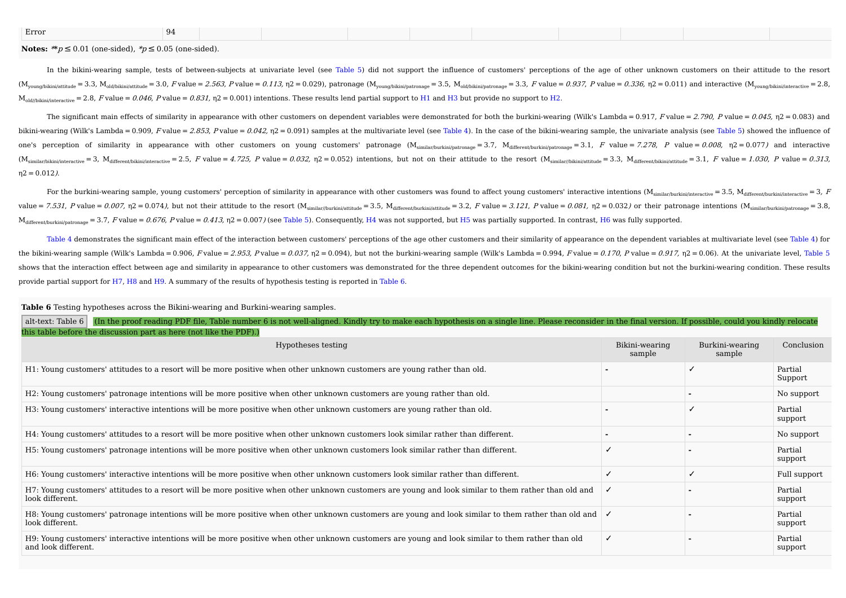| Error<br>$\mathbf{u}$ |
|-----------------------|
|-----------------------|

#### **Notes:**  $* p \le 0.01$  (one-sided),  $* p \le 0.05$  (one-sided).

In the bikini-wearing sample, tests of between-subjects at univariate level (see Table 5) did not support the influence of customers' perceptions of the age of other unknown customers on their attitude to the resort  $(M_{\text{vound/bikin/attribute}} = 3.3, M_{\text{old/bikin/attribute}} = 3.0, F$  value = 2.563, P value = 0.113, n2 = 0.029), patronage  $(M_{\text{vound/bikin/Instra}} = 3.5, M_{\text{old/bikin/Instranance}} = 3.3, F$  value = 0.937, P value = 0.336, n2 = 0.011) and interactive  $(M_{\text{vound/bikin/Instranance}} =$  $M_{\text{old/Dikin/interactive}} = 2.8$ , F value = 0.046, P value = 0.831,  $n = 0.001$ ) intentions. These results lend partial support to H1 and H3 but provide no support to H2.

The significant main effects of similarity in appearance with other customers on dependent variables were demonstrated for both the burkini-wearing (Wilk's Lambda = 0.917, F value = 2.790, P value = 0.045, n2 = 0.083) and bikini-wearing (Wilk's Lambda = 0.909, Fvalue = 2.853, Pvalue = 0.042, n2 = 0.091) samples at the multivariate level (see Table 4). In the case of the bikini-wearing sample, the univariate analysis (see Table 5) showed th one's perception of similarity in appearance with other customers on young customers' patronage  $(M_{similar/hurkin/arfmapat/marga} = 3.7, M_{diffaran/furkin/arfmapat/marga} = 3.1, F value = 7.278, P value = 0.008, \eta^2 = 0.077$  and interactive  $(M_{similarity/inkini/inkeractive} = 3, M_{differenthikini/inkeractive} = 2.5, F value = 4.725, P value = 0.032, \eta^2 = 0.052)$  intentions, but not on their attitude to the resort  $(M_{similarity/inkini/aktinide} = 3.3, M_{differenthikini/attinide} = 3.1, F value = 1.030, P value = 0.313, M_{diffrenthikini/attinide} = 0.313, M_{diffrenthikini/attinide} = 0.313, M$  $n2 = 0.012$ ).

For the burkini-wearing sample, young customers' perception of similarity in appearance with other customers was found to affect young customers' interactive intentions  $(M_{similarity} = 3.5, M_{diffeent/burkinifinteractive} = 3.5, M_{diffeent/burkinifinteractive} = 3.5)$ value = 7.531, P value = 0.007,  $\eta$ 2 = 0.074), but not their attitude to the resort ( $M_{simldr/intrthidetting}$  = 3.5,  $M_{differential}$  = 3.2, F value = 3.121, P value = 0.081,  $\eta$ 2 = 0.032) or their patronage intentions ( $M_{simrldr/intrthidetting}$  = 3  $M_{differential} = 3.7$ ,  $F$  value = 0.676, P value = 0.413,  $n = 0.007$  (see Table 5). Consequently, H4 was not supported, but H5 was partially supported. In contrast, H6 was fully supported.

Table 4 demonstrates the significant main effect of the interaction between customers' perceptions of the age other customers and their similarity of appearance on the dependent variables at multivariate level (see Table 4 the bikini-wearing sample (Wilk's Lambda = 0.906, F value = 2.953, P value = 0.037, n2 = 0.094), but not the burkini-wearing sample (Wilk's Lambda = 0.994, F value = 0.170, P value = 0.917, n2 = 0.06). At the univariate l shows that the interaction effect between age and similarity in appearance to other customers was demonstrated for the three dependent outcomes for the bikini-wearing condition but not the burkini-wearing condition. These provide partial support for H7, H8 and H9. A summary of the results of hypothesis testing is reported in Table 6.

#### **Table 6** Testing hypotheses across the Bikini-wearing and Burkini-wearing samples.

| (In the proof reading PDF file, Table number 6 is not well-aligned. Kindly try to make each hypothesis on a single line. Please reconsider in the final version. If possible, could you kindly relocate<br>alt-text: Table 6 |                          |                           |                    |
|------------------------------------------------------------------------------------------------------------------------------------------------------------------------------------------------------------------------------|--------------------------|---------------------------|--------------------|
| this table before the discussion part as here (not like the PDF).)                                                                                                                                                           |                          |                           |                    |
| Hypotheses testing                                                                                                                                                                                                           | Bikini-wearing<br>sample | Burkini-wearing<br>sample | Conclusion         |
| H1: Young customers' attitudes to a resort will be more positive when other unknown customers are young rather than old.                                                                                                     |                          |                           | Partial<br>Support |
| H2: Young customers' patronage intentions will be more positive when other unknown customers are young rather than old.                                                                                                      |                          |                           | No support         |
| H3: Young customers' interactive intentions will be more positive when other unknown customers are young rather than old.                                                                                                    |                          |                           | Partial<br>support |
| H4: Young customers' attitudes to a resort will be more positive when other unknown customers look similar rather than different.                                                                                            |                          |                           | No support         |
| H5: Young customers' patronage intentions will be more positive when other unknown customers look similar rather than different.                                                                                             |                          |                           | Partial<br>support |
| H6: Young customers' interactive intentions will be more positive when other unknown customers look similar rather than different.                                                                                           |                          |                           | Full support       |
| H7: Young customers' attitudes to a resort will be more positive when other unknown customers are young and look similar to them rather than old and<br>look different.                                                      |                          |                           | Partial<br>support |
| H8: Young customers' patronage intentions will be more positive when other unknown customers are young and look similar to them rather than old and<br>look different.                                                       |                          |                           | Partial<br>support |
| H9: Young customers' interactive intentions will be more positive when other unknown customers are young and look similar to them rather than old<br>and look different.                                                     | ✓                        |                           | Partial<br>support |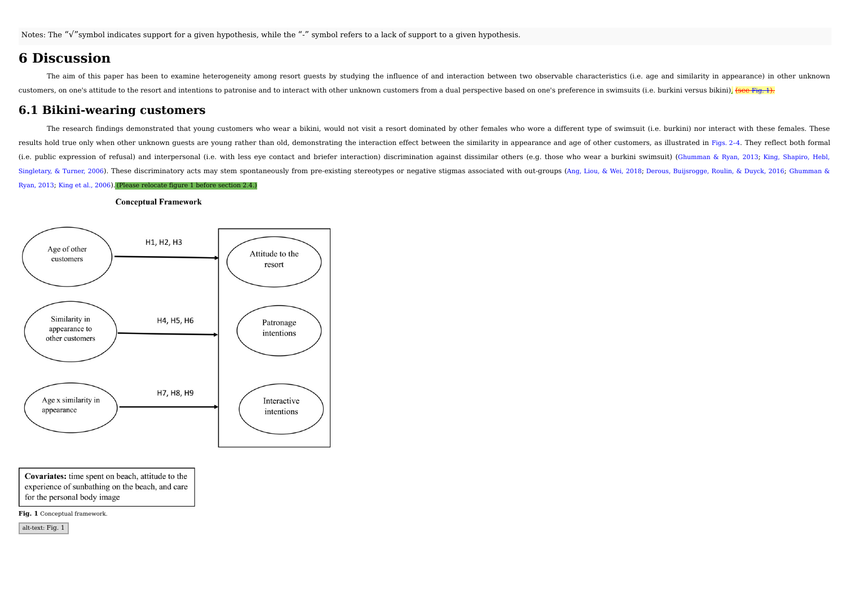## **6 Discussion**

The aim of this paper has been to examine heterogeneity among resort guests by studying the influence of and interaction between two observable characteristics (i.e. age and similarity in appearance) in other unknown customers, on one's attitude to the resort and intentions to patronise and to interact with other unknown customers from a dual perspective based on one's preference in swimsuits (i.e. burkini versus bikini). (see Fig. 1).

## **6.1 Bikini-wearing customers**

The research findings demonstrated that young customers who wear a bikini, would not visit a resort dominated by other females who wore a different type of swimsuit (i.e. burkini) nor interact with these females. These results hold true only when other unknown quests are young rather than old, demonstrating the interaction effect between the similarity in appearance and age of other customers, as illustrated in Figs. 2-4. They reflect bo (i.e. public expression of refusal) and interpersonal (i.e. with less eye contact and briefer interaction) discrimination against dissimilar others (e.g. those who wear a burkini swimsuit) (Ghumman & Ryan, 2013; King, Shap Singletary, & Turner, 2006). These discriminatory acts may stem spontaneously from pre-existing stereotypes or negative stigmas associated with out-groups (Ang. Liou, & Wei. 2018: Derous, Buijsrogge, Roulin, & Duyck, 2016; Ryan, 2013; King et al., 2006).(Please relocate figure 1 before section 2.4.)

#### **Conceptual Framework**



Covariates: time spent on beach, attitude to the experience of sunbathing on the beach, and care for the personal body image

**Fig. 1** Conceptual framework.

alt-text: Fig. 1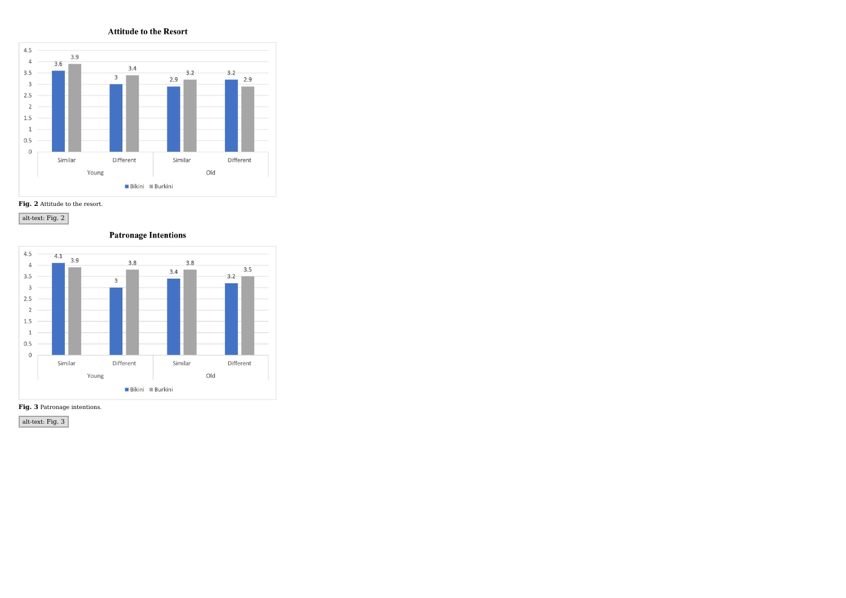**Attitude to the Resort** 







**Patronage Intentions** 





alt-text: Fig. 3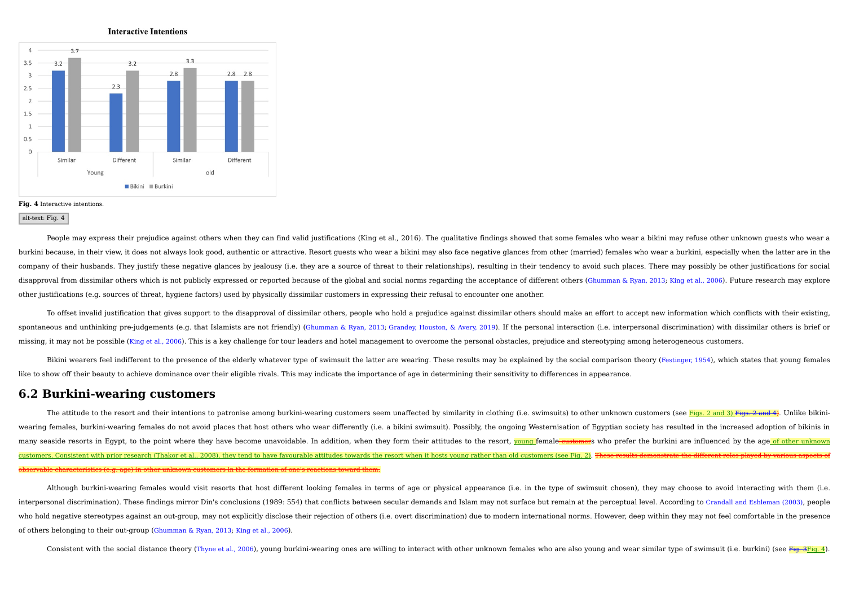



#### **Fig. 4** Interactive intentions.

#### alt-text: Fig. 4

People may express their prejudice against others when they can find valid justifications (King et al., 2016). The qualitative findings showed that some females who wear a bikini may refuse other unknown quests who wear a burkini because, in their view, it does not always look good, authentic or attractive. Resort guests who wear a bikini may also face negative glances from other (married) females who wear a burkini, especially when the lat company of their husbands. They justify these negative glances by jealousy (i.e. they are a source of threat to their relationships), resulting in their tendency to avoid such places. There may possibly be other justificat disapproval from dissimilar others which is not publicly expressed or reported because of the global and social norms regarding the acceptance of different others (Ghumman & Ryan, 2013; King et al., 2006). Future research other justifications (e.g. sources of threat, hygiene factors) used by physically dissimilar customers in expressing their refusal to encounter one another.

To offset invalid justification that gives support to the disapproval of dissimilar others, people who hold a prejudice against dissimilar others should make an effort to accept new information which conflicts with their e spontaneous and unthinking pre-judgements (e.g. that Islamists are not friendly) (Ghumman & Ryan, 2013; Grandey, Houston, & Avery, 2019). If the personal interaction (i.e. interpersonal discrimination) with dissimilar othe missing, it may not be possible (King et al., 2006). This is a key challenge for tour leaders and hotel management to overcome the personal obstacles, prejudice and stereotyping among heterogeneous customers.

Bikini wearers feel indifferent to the presence of the elderly whatever type of swimsuit the latter are wearing. These results may be explained by the social comparison theory (Festinger, 1954), which states that young fem like to show off their beauty to achieve dominance over their eligible rivals. This may indicate the importance of age in determining their sensitivity to differences in appearance.

## **6.2 Burkini-wearing customers**

The attitude to the resort and their intentions to patronise among burkini-wearing customers seem unaffected by similarity in clothing (i.e. swimsuits) to other unknown customers (see Figs. 2 and 3) Figs. 2 and 4). Unlike wearing females, burkini-wearing females do not avoid places that host others who wear differently (i.e. a bikini swimsuit). Possibly, the ongoing Westernisation of Egyptian society has resulted in the increased adoption o many seaside resorts in Egypt, to the point where they have become unavoidable. In addition, when they form their attitudes to the resort, young female eustomers who prefer the burkini are influenced by the age of other un customers. Consistent with prior research (Thakor et al., 2008), they tend to have favourable attitudes towards the resort when it hosts young rather than old customers (see Fig. 2). <del>T</del> observable characteristics (e.g. age) in other unknown customers in the formation of one's reactions toward them.

Although burkini-wearing females would visit resorts that host different looking females in terms of age or physical appearance (i.e. in the type of swimsuit chosen), they may choose to avoid interacting with them (i.e. interpersonal discrimination). These findings mirror Din's conclusions (1989: 554) that conflicts between secular demands and Islam may not surface but remain at the perceptual level. According to Crandall and Eshleman (20 who hold negative stereotypes against an out-group, may not explicitly disclose their rejection of others (i.e. overt discrimination) due to modern international norms. However, deep within they may not feel comfortable in of others belonging to their out-group (Ghumman & Ryan, 2013; King et al., 2006).

Consistent with the social distance theory (Thyne et al., 2006), young burkini-wearing ones are willing to interact with other unknown females who are also young and wear similar type of swimsuit (i.e. burkini) (see Fig. 3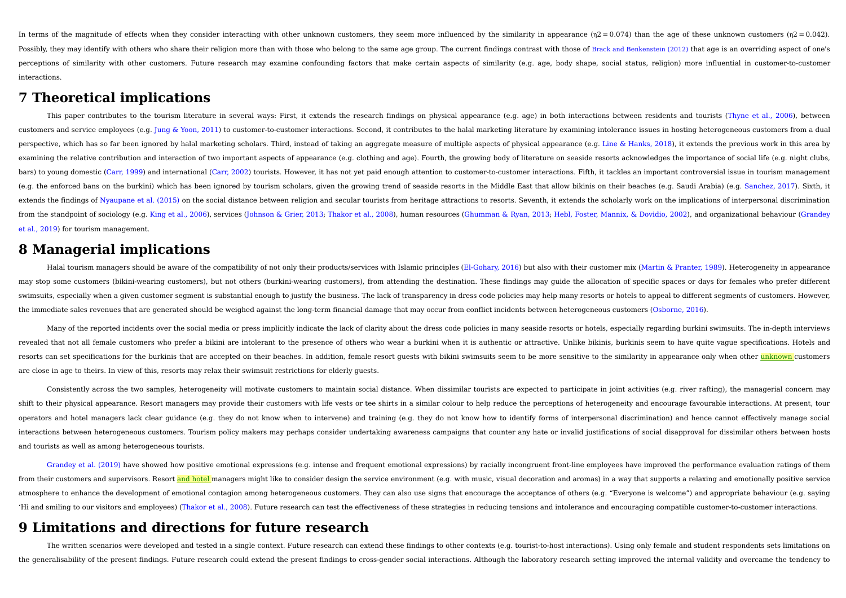In terms of the magnitude of effects when they consider interacting with other unknown customers, they seem more influenced by the similarity in appearance (n2 = 0.074) than the age of these unknown customers (n2 = 0.042) Possibly, they may identify with others who share their religion more than with those who belong to the same age group. The current findings contrast with those of Brack and Benkenstein (2012) that age is an overriding asp perceptions of similarity with other customers. Future research may examine confounding factors that make certain aspects of similarity (e.g. age, body shape, social status, religion) more influential in customer-to-custom interactions.

## **7 Theoretical implications**

This paper contributes to the tourism literature in several ways: First, it extends the research findings on physical appearance (e.g. age) in both interactions between residents and tourists (Thyne et al., 2006), between customers and service employees (e.g. Jung & Yoon, 2011) to customer-to-customer interactions. Second, it contributes to the halal marketing literature by examining intolerance issues in hosting heterogeneous customers fro perspective, which has so far been ignored by halal marketing scholars. Third, instead of taking an aggregate measure of multiple aspects of physical appearance (e.g. Line & Hanks, 2018), it extends the previous work in th examining the relative contribution and interaction of two important aspects of appearance (e.g. clothing and age). Fourth, the growing body of literature on seaside resorts acknowledges the importance of social life (e.g. bars) to young domestic (Carr, 1999) and international (Carr, 2002) tourists. However, it has not yet paid enough attention to customer-to-customer interactions. Fifth, it tackles an important controversial issue in touris (e.g. the enforced bans on the burkini) which has been ignored by tourism scholars, given the growing trend of seaside resorts in the Middle East that allow bikinis on their beaches (e.g. Saudi Arabia) (e.g. Sanchez, 2017) extends the findings of Nyaupane et al. (2015) on the social distance between religion and secular tourists from heritage attractions to resorts. Seventh, it extends the scholarly work on the implications of interpersonal from the standpoint of sociology (e.g. King et al., 2006), services (Johnson & Grier, 2013; Thakor et al., 2008), human resources (Ghumman & Ryan, 2013; Hebl, Foster, Mannix, & Dovidio, 2002), and organizational behaviour et al., 2019) for tourism management.

# **8 Managerial implications**

Halal tourism managers should be aware of the compatibility of not only their products/services with Islamic principles (El-Gohary, 2016) but also with their customer mix (Martin & Pranter, 1989). Heterogeneity in appearan may stop some customers (bikini-wearing customers), but not others (burkini-wearing customers), from attending the destination. These findings may quide the allocation of specific spaces or days for females who prefer diff swimsuits, especially when a given customer segment is substantial enough to justify the business. The lack of transparency in dress code policies may help many resorts or hotels to appeal to different segments of customer the immediate sales revenues that are generated should be weighed against the long-term financial damage that may occur from conflict incidents between heterogeneous customers (Osborne, 2016).

Many of the reported incidents over the social media or press implicitly indicate the lack of clarity about the dress code policies in many seaside resorts or hotels, especially regarding burkini swimsuits. The in-depth in revealed that not all female customers who prefer a bikini are intolerant to the presence of others who wear a burkini when it is authentic or attractive. Unlike bikinis, burkinis seem to have quite vaque specifications. H resorts can set specifications for the burkinis that are accepted on their beaches. In addition, female resort quests with bikini swimsuits seem to be more sensitive to the similarity in appearance only when other unknown are close in age to theirs. In view of this, resorts may relax their swimsuit restrictions for elderly guests.

Consistently across the two samples, heterogeneity will motivate customers to maintain social distance. When dissimilar tourists are expected to participate in joint activities (e.g. river rafting), the managerial concern shift to their physical appearance. Resort managers may provide their customers with life vests or tee shirts in a similar colour to help reduce the perceptions of heterogeneity and encourage favourable interactions. At pr operators and hotel managers lack clear guidance (e.g. they do not know when to intervene) and training (e.g. they do not know how to identify forms of interpersonal discrimination) and hence cannot effectively manage social interactions between heterogeneous customers. Tourism policy makers may perhaps consider undertaking awareness campaigns that counter any hate or invalid justifications of social disapproval for dissimilar others between h and tourists as well as among heterogeneous tourists.

Grandey et al. (2019) have showed how positive emotional expressions (e.g. intense and frequent emotional expressions) by racially incongruent front-line employees have improved the performance evaluation ratings of them from their customers and supervisors. Resort and hotel managers might like to consider design the service environment (e.g. with music, visual decoration and aromas) in a way that supports a relaxing and emotionally positi atmosphere to enhance the development of emotional contagion among heterogeneous customers. They can also use signs that encourage the acceptance of others (e.g. "Everyone is welcome") and appropriate behaviour (e.g. saying 'Hi and smiling to our visitors and employees) (Thakor et al., 2008). Future research can test the effectiveness of these strategies in reducing tensions and intolerance and encouraging compatible customer-to-customer inte

## **9 Limitations and directions for future research**

The written scenarios were developed and tested in a single context. Future research can extend these findings to other contexts (e.g. tourist-to-host interactions). Using only female and student respondents sets limitatio the generalisability of the present findings. Future research could extend the present findings to cross-gender social interactions. Although the laboratory research setting improved the internal validity and overcame the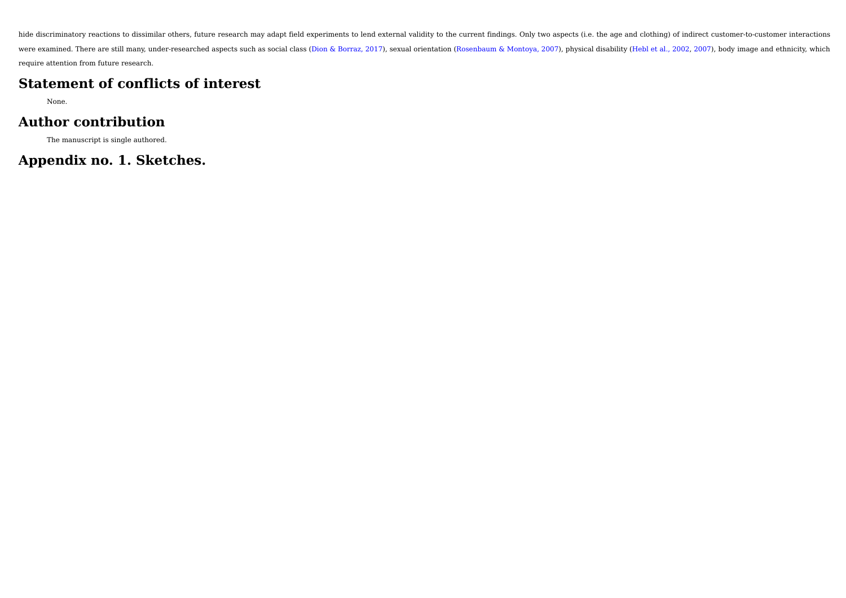hide discriminatory reactions to dissimilar others, future research may adapt field experiments to lend external validity to the current findings. Only two aspects (i.e. the age and clothing) of indirect customer-to-custom were examined. There are still many, under-researched aspects such as social class (Dion & Borraz, 2017), sexual orientation (Rosenbaum & Montoya, 2007), physical disability (Hebl et al., 2002, 2007), body image and ethnic require attention from future research.

# **Statement of conflicts of interest**

None.

# **Author contribution**

The manuscript is single authored.

# **Appendix no. 1. Sketches.**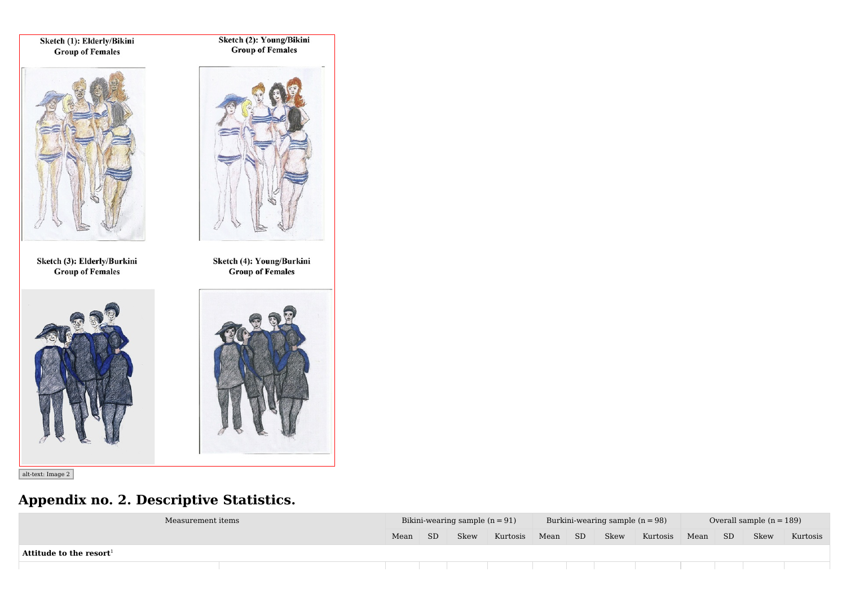Sketch (1): Elderly/Bikini **Group of Females** 

Sketch (2): Young/Bikini<br>Group of Females



Sketch (3): Elderly/Burkini **Group of Females** 





Sketch (4): Young/Burkini **Group of Females** 



alt-text: Image 2

# **Appendix no. 2. Descriptive Statistics.**

| Measurement items                   |      |     | Bikini-wearing sample $(n = 91)$ |          |      |                 | Burkini-wearing sample $(n = 98)$ |          |      |     | Overall sample $(n = 189)$ |          |
|-------------------------------------|------|-----|----------------------------------|----------|------|-----------------|-----------------------------------|----------|------|-----|----------------------------|----------|
|                                     | Mean | SD. | Skew                             | Kurtosis | Mean | SD <sub>1</sub> | Skew                              | Kurtosis | Mean | SD. | Skew                       | Kurtosis |
| Attitude to the resort <sup>1</sup> |      |     |                                  |          |      |                 |                                   |          |      |     |                            |          |
|                                     |      |     |                                  |          |      |                 |                                   |          |      |     |                            |          |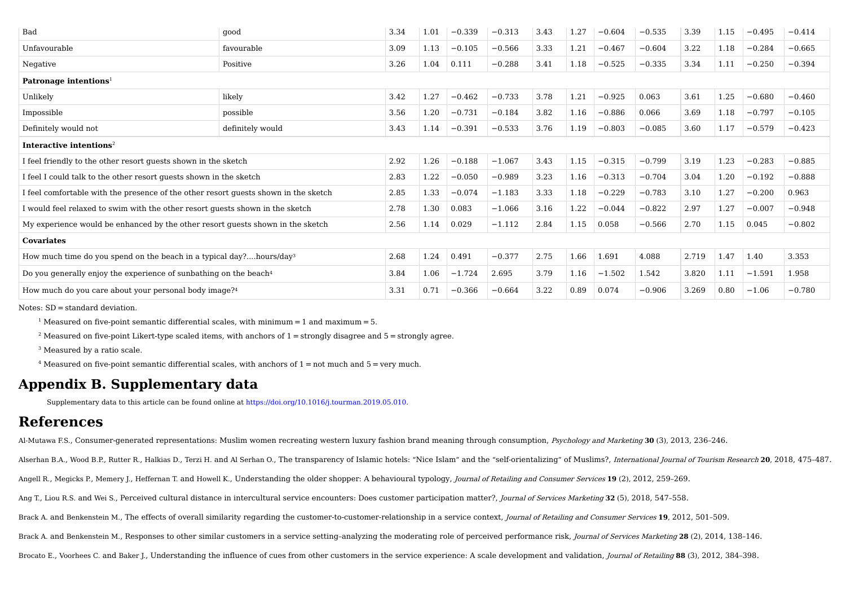| good                                                                                | 3.34 | 1.01 | $-0.339$ | $-0.313$ | 3.43 | 1.27 | $-0.604$ | $-0.535$ | 3.39  | 1.15                                                   | $-0.495$ | $-0.414$ |
|-------------------------------------------------------------------------------------|------|------|----------|----------|------|------|----------|----------|-------|--------------------------------------------------------|----------|----------|
| favourable                                                                          | 3.09 | 1.13 | $-0.105$ | $-0.566$ | 3.33 | 1.21 | $-0.467$ | $-0.604$ | 3.22  | 1.18                                                   | $-0.284$ | $-0.665$ |
| Positive                                                                            | 3.26 | 1.04 | 0.111    | $-0.288$ | 3.41 | 1.18 | $-0.525$ | $-0.335$ | 3.34  | 1.11                                                   | $-0.250$ | $-0.394$ |
|                                                                                     |      |      |          |          |      |      |          |          |       |                                                        |          |          |
| likely                                                                              | 3.42 | 1.27 | $-0.462$ | $-0.733$ | 3.78 | 1.21 | $-0.925$ | 0.063    | 3.61  | 1.25                                                   | $-0.680$ | $-0.460$ |
| possible                                                                            | 3.56 | 1.20 | $-0.731$ | $-0.184$ | 3.82 | 1.16 | $-0.886$ | 0.066    | 3.69  | 1.18                                                   | $-0.797$ | $-0.105$ |
| definitely would                                                                    | 3.43 | 1.14 | $-0.391$ | $-0.533$ | 3.76 | 1.19 | $-0.803$ | $-0.085$ | 3.60  | 1.17                                                   | $-0.579$ | $-0.423$ |
|                                                                                     |      |      |          |          |      |      |          |          |       |                                                        |          |          |
| I feel friendly to the other resort guests shown in the sketch                      | 2.92 | 1.26 | $-0.188$ | $-1.067$ | 3.43 | 1.15 | $-0.315$ | $-0.799$ | 3.19  | 1.23                                                   | $-0.283$ | $-0.885$ |
| I feel I could talk to the other resort guests shown in the sketch                  | 2.83 | 1.22 | $-0.050$ | $-0.989$ | 3.23 | 1.16 | $-0.313$ | $-0.704$ | 3.04  | 1.20                                                   | $-0.192$ | $-0.888$ |
| I feel comfortable with the presence of the other resort quests shown in the sketch | 2.85 | 1.33 | $-0.074$ | $-1.183$ | 3.33 | 1.18 | $-0.229$ | $-0.783$ | 3.10  | 1.27                                                   | $-0.200$ | 0.963    |
| I would feel relaxed to swim with the other resort guests shown in the sketch       | 2.78 | 1.30 | 0.083    | $-1.066$ | 3.16 | 1.22 | $-0.044$ | $-0.822$ | 2.97  | 1.27                                                   | $-0.007$ | $-0.948$ |
| My experience would be enhanced by the other resort quests shown in the sketch      | 2.56 | 1.14 | 0.029    | $-1.112$ | 2.84 | 1.15 | 0.058    | $-0.566$ | 2.70  | 1.15                                                   | 0.045    | $-0.802$ |
|                                                                                     |      |      |          |          |      |      |          |          |       |                                                        |          |          |
| How much time do you spend on the beach in a typical day?hours/day <sup>3</sup>     | 2.68 | 1.24 | 0.491    | $-0.377$ | 2.75 | 1.66 | 1.691    | 4.088    | 2.719 | 1.47                                                   | 1.40     | 3.353    |
| Do you generally enjoy the experience of sunbathing on the beach <sup>4</sup>       | 3.84 | 1.06 | $-1.724$ | 2.695    | 3.79 | 1.16 | $-1.502$ | 1.542    | 3.820 | 1.11                                                   | $-1.591$ | 1.958    |
| How much do you care about your personal body image? <sup>4</sup>                   | 3.31 |      | $-0.366$ |          |      |      |          |          |       | 0.80                                                   | $-1.06$  | $-0.780$ |
|                                                                                     |      |      | 0.71     |          |      |      |          |          |       | 3.22<br>3.269<br>$-0.664$<br>0.89<br>0.074<br>$-0.906$ |          |          |

Notes: SD = standard deviation.

<sup>1</sup> Measured on five-point semantic differential scales, with minimum  $=$  1 and maximum  $=$  5.

<sup>2</sup> Measured on five-point Likert-type scaled items, with anchors of  $1 =$  strongly disagree and  $5 =$  strongly agree.

<sup>3</sup> Measured by a ratio scale.

<sup>4</sup> Measured on five-point semantic differential scales, with anchors of  $1 = not$  much and  $5 =$  very much.

# **Appendix B. Supplementary data**

Supplementary data to this article can be found online at https://doi.org/10.1016/j.tourman.2019.05.010.

# **References**

Al-Mutawa F.S., Consumer-generated representations: Muslim women recreating western luxury fashion brand meaning through consumption, Psychology and Marketing **30** (3), 2013, 236–246.

Alserhan B.A., Wood B.P., Rutter R., Halkias D., Terzi H. and Al Serhan O., The transparency of Islamic hotels: "Nice Islam" and the "self-orientalizing" of Muslims?, International Journal of Tourism Research 20, 2018, 475

Angell R., Megicks P., Memery J., Heffernan T. and Howell K., Understanding the older shopper: A behavioural typology, Journal of Retailing and Consumer Services **19** (2), 2012, 259–269.

Ang T., Liou R.S. and Wei S., Perceived cultural distance in intercultural service encounters: Does customer participation matter?, Journal of Services Marketing **32** (5), 2018, 547–558.

Brack A. and Benkenstein M., The effects of overall similarity regarding the customer-to-customer-relationship in a service context, Journal of Retailing and Consumer Services **19**, 2012, 501–509.

Brack A. and Benkenstein M., Responses to other similar customers in a service setting–analyzing the moderating role of perceived performance risk, Journal of Services Marketing **28** (2), 2014, 138–146.

Brocato E., Voorhees C. and Baker J., Understanding the influence of cues from other customers in the service experience: A scale development and validation, Journal of Retailing **88** (3), 2012, 384–398.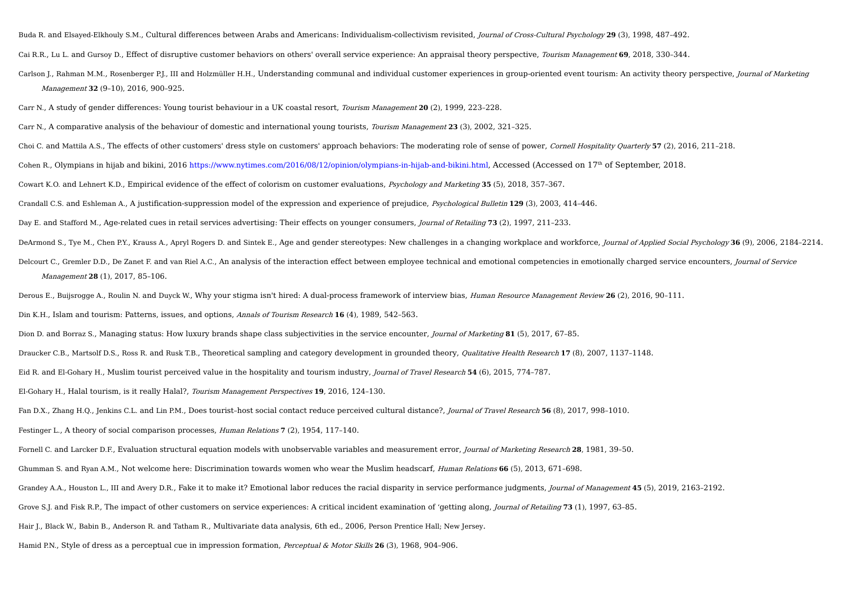Buda R. and Elsayed-Elkhouly S.M., Cultural differences between Arabs and Americans: Individualism-collectivism revisited, Journal of Cross-Cultural Psychology **29** (3), 1998, 487–492.

Cai R.R., Lu L. and Gursoy D., Effect of disruptive customer behaviors on others' overall service experience: An appraisal theory perspective, Tourism Management **69**, 2018, 330–344.

Carlson L. Rahman M.M., Rosenberger P.L. III and Holzmüller H.H., Understanding communal and individual customer experiences in group-oriented event tourism: An activity theory perspective, *Iournal of Marketing* Management **32** (9–10), 2016, 900–925.

Carr N., A study of gender differences: Young tourist behaviour in a UK coastal resort, Tourism Management **20** (2), 1999, 223–228.

Carr N., A comparative analysis of the behaviour of domestic and international young tourists, Tourism Management **23** (3), 2002, 321–325.

Choi C. and Mattila A.S., The effects of other customers' dress style on customers' approach behaviors: The moderating role of sense of power, Cornell Hospitality Quarterly **57** (2), 2016, 211–218.

Cohen R., Olympians in hijab and bikini, 2016 https://www.nytimes.com/2016/08/12/opinion/olympians-in-hijab-and-bikini.html, Accessed (Accessed on 17<sup>th</sup> of September, 2018.

Cowart K.O. and Lehnert K.D., Empirical evidence of the effect of colorism on customer evaluations, Psychology and Marketing **35** (5), 2018, 357–367.

Crandall C.S. and Eshleman A., A justification-suppression model of the expression and experience of prejudice, Psychological Bulletin **129** (3), 2003, 414–446.

Day E. and Stafford M., Age-related cues in retail services advertising: Their effects on younger consumers, Journal of Retailing **73** (2), 1997, 211–233.

DeArmond S., Tye M., Chen P.Y., Krauss A., Apryl Rogers D. and Sintek E., Age and gender stereotypes: New challenges in a changing workplace and workforce, Journal of Applied Social Psychology **36** (9), 2006, 2184–2214.

Delcourt C., Gremler D.D., De Zanet F. and van Riel A.C., An analysis of the interaction effect between employee technical and emotional competencies in emotionally charged service encounters, Journal of Service Management **28** (1), 2017, 85–106.

Derous E., Buijsrogge A., Roulin N. and Duyck W., Why your stigma isn't hired: A dual-process framework of interview bias, Human Resource Management Review **26** (2), 2016, 90–111.

Din K.H., Islam and tourism: Patterns, issues, and options, Annals of Tourism Research **16** (4), 1989, 542–563.

Dion D. and Borraz S., Managing status: How luxury brands shape class subjectivities in the service encounter, Journal of Marketing **81** (5), 2017, 67–85.

Draucker C.B., Martsolf D.S., Ross R. and Rusk T.B., Theoretical sampling and category development in grounded theory, Qualitative Health Research **17** (8), 2007, 1137–1148.

Eid R. and El-Gohary H., Muslim tourist perceived value in the hospitality and tourism industry, Journal of Travel Research **54** (6), 2015, 774–787.

El-Gohary H., Halal tourism, is it really Halal?, Tourism Management Perspectives **19**, 2016, 124–130.

Fan D.X., Zhang H.Q., Jenkins C.L. and Lin P.M., Does tourist–host social contact reduce perceived cultural distance?, Journal of Travel Research **56** (8), 2017, 998–1010.

Festinger L., A theory of social comparison processes, Human Relations **7** (2), 1954, 117–140.

Fornell C. and Larcker D.F., Evaluation structural equation models with unobservable variables and measurement error, Journal of Marketing Research **28**, 1981, 39–50.

Ghumman S. and Ryan A.M., Not welcome here: Discrimination towards women who wear the Muslim headscarf, Human Relations **66** (5), 2013, 671–698.

Grandey A.A., Houston L., III and Avery D.R., Fake it to make it? Emotional labor reduces the racial disparity in service performance judgments, Journal of Management **45** (5), 2019, 2163–2192.

Grove S.J. and Fisk R.P., The impact of other customers on service experiences: A critical incident examination of 'getting along, Journal of Retailing **73** (1), 1997, 63–85.

Hair J., Black W., Babin B., Anderson R. and Tatham R., Multivariate data analysis, 6th ed., 2006, Person Prentice Hall; New Jersey.

Hamid P.N., Style of dress as a perceptual cue in impression formation, Perceptual & Motor Skills **26** (3), 1968, 904–906.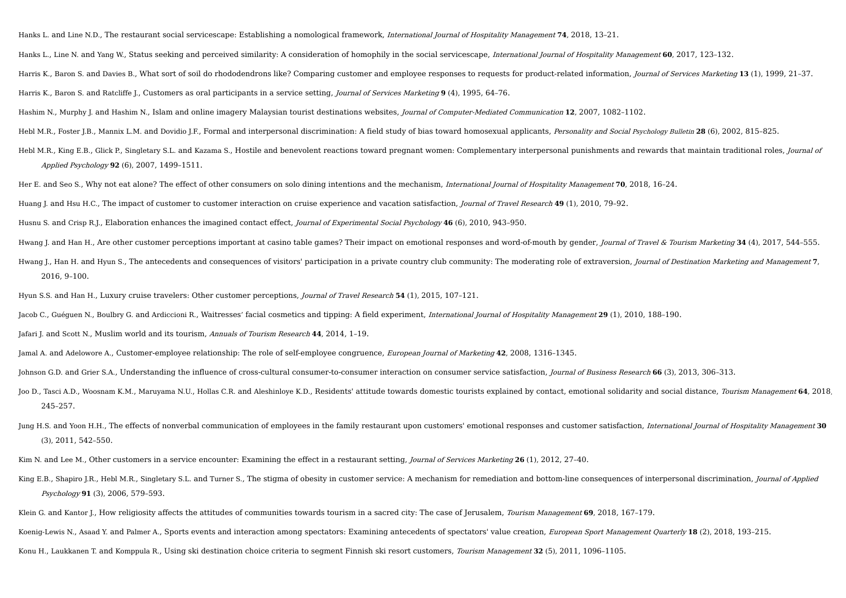Hanks L. and Line N.D., The restaurant social servicescape: Establishing a nomological framework, International Journal of Hospitality Management **74**, 2018, 13–21.

Hanks L., Line N. and Yang W., Status seeking and perceived similarity: A consideration of homophily in the social servicescape, International Journal of Hospitality Management **60**, 2017, 123–132.

Harris K., Baron S. and Davies B., What sort of soil do rhododendrons like? Comparing customer and employee responses to requests for product-related information, Journal of Services Marketing **13** (1), 1999, 21–37.

Harris K., Baron S. and Ratcliffe J., Customers as oral participants in a service setting, Journal of Services Marketing **9** (4), 1995, 64–76.

Hashim N., Murphy J. and Hashim N., Islam and online imagery Malaysian tourist destinations websites, Journal of Computer-Mediated Communication **12**, 2007, 1082–1102.

Hebl M.R., Foster J.B., Mannix L.M. and Dovidio J.F., Formal and interpersonal discrimination: A field study of bias toward homosexual applicants, Personality and Social Psychology Bulletin **28** (6), 2002, 815–825.

Hebl M.R., King E.B., Glick P., Singletary S.L. and Kazama S., Hostile and benevolent reactions toward pregnant women: Complementary interpersonal punishments and rewards that maintain traditional roles, *Journal of* Applied Psychology **92** (6), 2007, 1499–1511.

Her E. and Seo S., Why not eat alone? The effect of other consumers on solo dining intentions and the mechanism, International Journal of Hospitality Management **70**, 2018, 16–24.

Huang J. and Hsu H.C., The impact of customer to customer interaction on cruise experience and vacation satisfaction, Journal of Travel Research **49** (1), 2010, 79–92.

Husnu S. and Crisp R.J., Elaboration enhances the imagined contact effect, Journal of Experimental Social Psychology **46** (6), 2010, 943–950.

Hwang J. and Han H., Are other customer perceptions important at casino table games? Their impact on emotional responses and word-of-mouth by gender, Journal of Travel & Tourism Marketing **34** (4), 2017, 544–555.

Hwang J., Han H. and Hyun S., The antecedents and consequences of visitors' participation in a private country club community: The moderating role of extraversion, Journal of Destination Marketing and Management **7**, 2016, 9–100.

Hyun S.S. and Han H., Luxury cruise travelers: Other customer perceptions, Journal of Travel Research **54** (1), 2015, 107–121.

Jacob C., Guéguen N., Boulbry G. and Ardiccioni R., Waitresses' facial cosmetics and tipping: A field experiment, International Journal of Hospitality Management **29** (1), 2010, 188–190.

Jafari J. and Scott N., Muslim world and its tourism, Annuals of Tourism Research **44**, 2014, 1–19.

Jamal A. and Adelowore A., Customer-employee relationship: The role of self-employee congruence, European Journal of Marketing **42**, 2008, 1316–1345.

Johnson G.D. and Grier S.A., Understanding the influence of cross-cultural consumer-to-consumer interaction on consumer service satisfaction, Journal of Business Research **66** (3), 2013, 306–313.

- Joo D., Tasci A.D., Woosnam K.M., Maruyama N.U., Hollas C.R. and Aleshinloye K.D., Residents' attitude towards domestic tourists explained by contact, emotional solidarity and social distance, Tourism Management 64, 2018, 245–257.
- Jung H.S. and Yoon H.H., The effects of nonverbal communication of employees in the family restaurant upon customers' emotional responses and customer satisfaction, International Journal of Hospitality Management **30** (3), 2011, 542–550.

Kim N. and Lee M., Other customers in a service encounter: Examining the effect in a restaurant setting, Journal of Services Marketing **26** (1), 2012, 27–40.

King E.B., Shapiro J.R., Hebl M.R., Singletary S.L. and Turner S., The stigma of obesity in customer service: A mechanism for remediation and bottom-line consequences of interpersonal discrimination, *Journal of Applied* Psychology **91** (3), 2006, 579–593.

Klein G. and Kantor J., How religiosity affects the attitudes of communities towards tourism in a sacred city: The case of Jerusalem, *Tourism Management* 69, 2018, 167-179.

Koenig-Lewis N., Asaad Y. and Palmer A., Sports events and interaction among spectators: Examining antecedents of spectators' value creation, European Sport Management Quarterly **18** (2), 2018, 193–215.

Konu H., Laukkanen T. and Komppula R., Using ski destination choice criteria to segment Finnish ski resort customers, Tourism Management **32** (5), 2011, 1096–1105.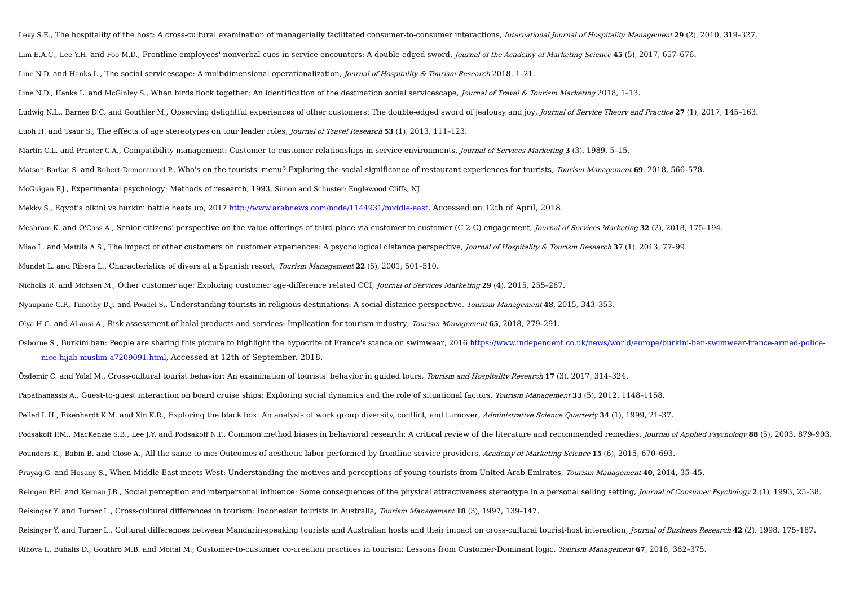Levy S.E., The hospitality of the host: A cross-cultural examination of managerially facilitated consumer-to-consumer interactions, International Journal of Hospitality Management **29** (2), 2010, 319–327. Lim E.A.C., Lee Y.H. and Foo M.D., Frontline employees' nonverbal cues in service encounters: A double-edged sword, Journal of the Academy of Marketing Science **45** (5), 2017, 657–676. Line N.D. and Hanks L., The social servicescape: A multidimensional operationalization, *Journal of Hospitality & Tourism Research* 2018, 1-21. Line N.D., Hanks L. and McGinley S., When birds flock together: An identification of the destination social servicescape, Journal of Travel & Tourism Marketing 2018, 1-13. Ludwig N.L., Barnes D.C. and Gouthier M., Observing delightful experiences of other customers: The double-edged sword of jealousy and joy, Journal of Service Theory and Practice **27** (1), 2017, 145–163. Luoh H. and Tsaur S., The effects of age stereotypes on tour leader roles, Journal of Travel Research **53** (1), 2013, 111–123. Martin C.L. and Pranter C.A., Compatibility management: Customer-to-customer relationships in service environments, Journal of Services Marketing **3** (3), 1989, 5–15. Matson-Barkat S. and Robert-Demontrond P., Who's on the tourists' menu? Exploring the social significance of restaurant experiences for tourists, Tourism Management **69**, 2018, 566–578. McGuigan F.J., Experimental psychology: Methods of research, 1993, Simon and Schuster; Englewood Cliffs, NJ. Mekky S., Egypt's bikini vs burkini battle heats up, 2017 http://www.arabnews.com/node/1144931/middle-east, Accessed on 12th of April, 2018. Meshram K. and O'Cass A., Senior citizens' perspective on the value offerings of third place via customer to customer (C-2-C) engagement, Journal of Services Marketing **32** (2), 2018, 175–194. Miao L. and Mattila A.S., The impact of other customers on customer experiences: A psychological distance perspective, Journal of Hospitality & Tourism Research **37** (1), 2013, 77–99. Mundet L. and Ribera L., Characteristics of divers at a Spanish resort, Tourism Management **22** (5), 2001, 501–510. Nicholls R. and Mohsen M., Other customer age: Exploring customer age-difference related CCI, Journal of Services Marketing **29** (4), 2015, 255–267. Nyaupane G.P., Timothy D.J. and Poudel S., Understanding tourists in religious destinations: A social distance perspective, Tourism Management **48**, 2015, 343–353. Olya H.G. and Al-ansi A., Risk assessment of halal products and services: Implication for tourism industry, Tourism Management **65**, 2018, 279–291. Osborne S., Burkini ban: People are sharing this picture to highlight the hypocrite of France's stance on swimwear, 2016 https://www.independent.co.uk/news/world/europe/burkini-ban-swimwear-france-armed-policenice-hijab-muslim-a7209091.html, Accessed at 12th of September, 2018. Özdemir C. and Yolal M., Cross-cultural tourist behavior: An examination of tourists' behavior in guided tours, Tourism and Hospitality Research **17** (3), 2017, 314–324. Papathanassis A., Guest-to-guest interaction on board cruise ships: Exploring social dynamics and the role of situational factors, Tourism Management **33** (5), 2012, 1148–1158. Pelled L.H., Eisenhardt K.M. and Xin K.R., Exploring the black box: An analysis of work group diversity, conflict, and turnover, Administrative Science Quarterly **34** (1), 1999, 21–37. Podsakoff P.M., MacKenzie S.B., Lee I.Y. and Podsakoff N.P., Common method biases in behavioral research: A critical review of the literature and recommended remedies, *Iournal of Applied Psychology* 88 (5), 2003, 879-903. Pounders K., Babin B. and Close A., All the same to me: Outcomes of aesthetic labor performed by frontline service providers, Academy of Marketing Science **15** (6), 2015, 670–693. Prayag G. and Hosany S., When Middle East meets West: Understanding the motives and perceptions of young tourists from United Arab Emirates, Tourism Management **40**, 2014, 35–45. Reingen P.H. and Kernan J.B., Social perception and interpersonal influence: Some consequences of the physical attractiveness stereotype in a personal selling setting, Journal of Consumer Psychology 2 (1), 1993, 25-38. Reisinger Y. and Turner L., Cross-cultural differences in tourism: Indonesian tourists in Australia, Tourism Management **18** (3), 1997, 139–147. Reisinger Y. and Turner L., Cultural differences between Mandarin-speaking tourists and Australian hosts and their impact on cross-cultural tourist-host interaction, Journal of Business Research **42** (2), 1998, 175–187. Rihova I., Buhalis D., Gouthro M.B. and Moital M., Customer-to-customer co-creation practices in tourism: Lessons from Customer-Dominant logic, Tourism Management **67**, 2018, 362–375.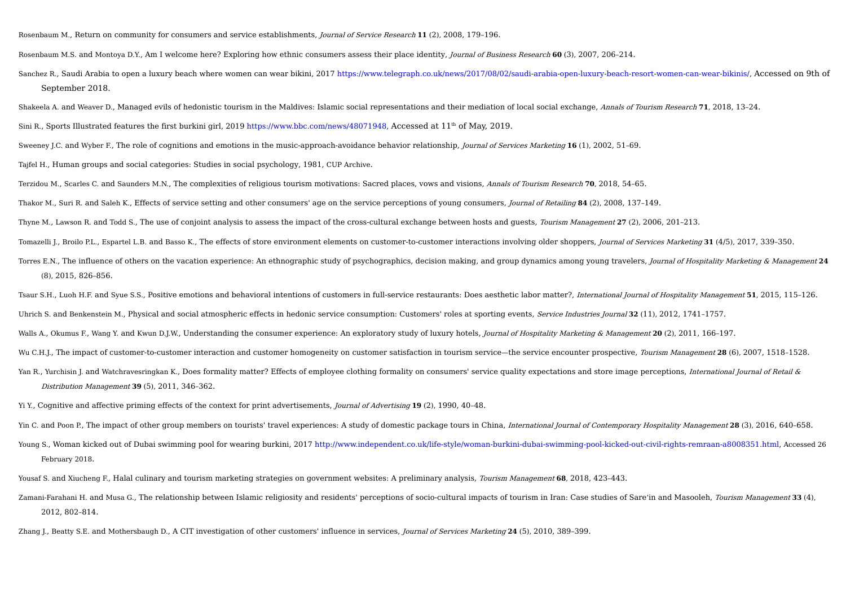Rosenbaum M., Return on community for consumers and service establishments, Journal of Service Research **11** (2), 2008, 179–196.

Rosenbaum M.S. and Montoya D.Y., Am I welcome here? Exploring how ethnic consumers assess their place identity, Journal of Business Research **60** (3), 2007, 206–214.

Sanchez R., Saudi Arabia to open a luxury beach where women can wear bikini, 2017 https://www.telegraph.co.uk/news/2017/08/02/saudi-arabia-open-luxury-beach-resort-women-can-wear-bikinis/, Accessed on 9th of September 2018.

Shakeela A. and Weaver D., Managed evils of hedonistic tourism in the Maldives: Islamic social representations and their mediation of local social exchange, Annals of Tourism Research **71**, 2018, 13–24.

Sini R., Sports Illustrated features the first burkini girl, 2019 https://www.bbc.com/news/48071948, Accessed at 11<sup>th</sup> of May, 2019.

Sweeney J.C. and Wyber F., The role of cognitions and emotions in the music-approach-avoidance behavior relationship, Journal of Services Marketing **16** (1), 2002, 51–69.

Tajfel H., Human groups and social categories: Studies in social psychology, 1981, CUP Archive.

Terzidou M., Scarles C. and Saunders M.N., The complexities of religious tourism motivations: Sacred places, vows and visions, Annals of Tourism Research **70**, 2018, 54–65.

Thakor M., Suri R. and Saleh K., Effects of service setting and other consumers' age on the service perceptions of young consumers, Journal of Retailing **84** (2), 2008, 137–149.

Thyne M., Lawson R. and Todd S., The use of conjoint analysis to assess the impact of the cross-cultural exchange between hosts and guests, Tourism Management **27** (2), 2006, 201–213.

Tomazelli J., Broilo P.L., Espartel L.B. and Basso K., The effects of store environment elements on customer-to-customer interactions involving older shoppers, Journal of Services Marketing **31** (4/5), 2017, 339–350.

Torres E.N., The influence of others on the vacation experience: An ethnographic study of psychographics, decision making, and group dynamics among young travelers, Journal of Hospitality Marketing & Management **24** (8), 2015, 826–856.

Tsaur S.H., Luoh H.F. and Syue S.S., Positive emotions and behavioral intentions of customers in full-service restaurants: Does aesthetic labor matter?, International Iournal of Hospitality Management 51, 2015, 115-126. Uhrich S. and Benkenstein M., Physical and social atmospheric effects in hedonic service consumption: Customers' roles at sporting events, Service Industries Journal **32** (11), 2012, 1741–1757.

Walls A., Okumus F., Wang Y. and Kwun D.J.W., Understanding the consumer experience: An exploratory study of luxury hotels, Journal of Hospitality Marketing & Management **20** (2), 2011, 166–197.

Wu C.H.J., The impact of customer-to-customer interaction and customer homogeneity on customer satisfaction in tourism service—the service encounter prospective, Tourism Management 28 (6), 2007, 1518-1528.

Yan R., Yurchisin J. and Watchravesringkan K., Does formality matter? Effects of employee clothing formality on consumers' service quality expectations and store image perceptions, International Journal of Retail & Distribution Management **39** (5), 2011, 346–362.

Yi Y., Cognitive and affective priming effects of the context for print advertisements, Journal of Advertising **19** (2), 1990, 40–48.

Yin C. and Poon P., The impact of other group members on tourists' travel experiences: A study of domestic package tours in China, International Journal of Contemporary Hospitality Management **28** (3), 2016, 640–658.

Young S., Woman kicked out of Dubai swimming pool for wearing burkini, 2017 http://www.independent.co.uk/life-style/woman-burkini-dubai-swimming-pool-kicked-out-civil-rights-remraan-a8008351.html, Accessed 26 February 2018.

Yousaf S. and Xiucheng F., Halal culinary and tourism marketing strategies on government websites: A preliminary analysis, Tourism Management **68**, 2018, 423–443.

Zamani-Farahani H. and Musa G., The relationship between Islamic religiosity and residents' perceptions of socio-cultural impacts of tourism in Iran: Case studies of Sare'in and Masooleh, Tourism Management **33** (4), 2012, 802–814.

Zhang J., Beatty S.E. and Mothersbaugh D., A CIT investigation of other customers' influence in services, Journal of Services Marketing **24** (5), 2010, 389–399.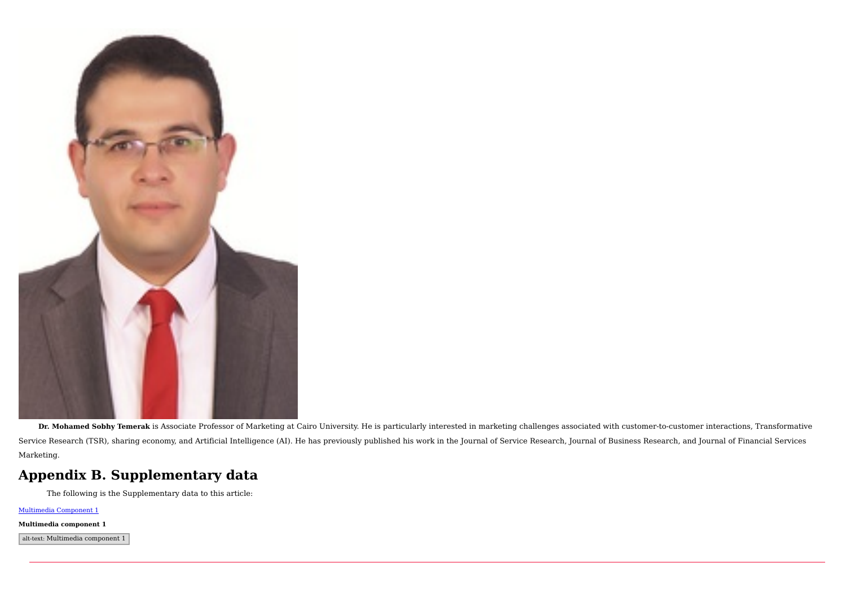

Dr. Mohamed Sobhy Temerak is Associate Professor of Marketing at Cairo University. He is particularly interested in marketing challenges associated with customer-to-customer interactions, Transformative Service Research (TSR), sharing economy, and Artificial Intelligence (AI). He has previously published his work in the Journal of Service Research, Journal of Business Research, and Journal of Financial Services Marketing.

# **Appendix B. Supplementary data**

The following is the Supplementary data to this article:

Multimedia Component 1

#### **Multimedia component 1**

alt-text: Multimedia component 1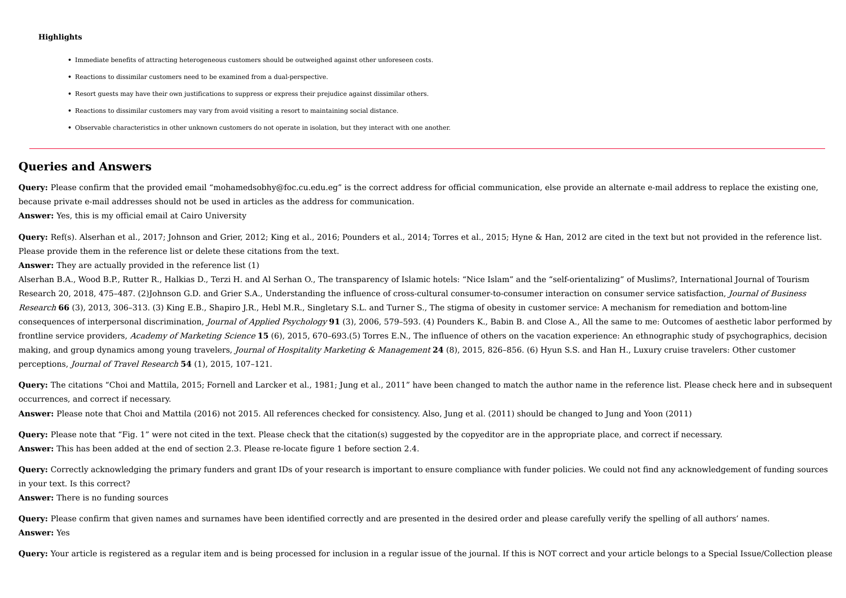#### **Highlights**

- **•** Immediate benefits of attracting heterogeneous customers should be outweighed against other unforeseen costs.
- **•** Reactions to dissimilar customers need to be examined from a dual-perspective.
- **•** Resort guests may have their own justifications to suppress or express their prejudice against dissimilar others.
- **•** Reactions to dissimilar customers may vary from avoid visiting a resort to maintaining social distance.
- **•** Observable characteristics in other unknown customers do not operate in isolation, but they interact with one another.

## **Queries and Answers**

**Query:** Please confirm that the provided email "mohamedsobhy@foc.cu.edu.eg" is the correct address for official communication, else provide an alternate e-mail address to replace the existing one, because private e-mail addresses should not be used in articles as the address for communication.

**Answer:** Yes, this is my official email at Cairo University

**Query:** Ref(s). Alserhan et al., 2017; Johnson and Grier, 2012; King et al., 2016; Pounders et al., 2014; Torres et al., 2015; Hyne & Han, 2012 are cited in the text but not provided in the reference list. Please provide them in the reference list or delete these citations from the text.

**Answer:** They are actually provided in the reference list (1)

Alserhan B.A., Wood B.P., Rutter R., Halkias D., Terzi H. and Al Serhan O., The transparency of Islamic hotels: "Nice Islam" and the "self-orientalizing" of Muslims?, International Journal of Tourism Research 20, 2018, 475-487. (2)Johnson G.D. and Grier S.A., Understanding the influence of cross-cultural consumer-to-consumer interaction on consumer service satisfaction, Journal of Business Research 66 (3), 2013, 306-313. (3) King E.B., Shapiro J.R., Hebl M.R., Singletary S.L. and Turner S., The stigma of obesity in customer service: A mechanism for remediation and bottom-line consequences of interpersonal discrimination, Journal of Applied Psychology **91** (3), 2006, 579–593. (4) Pounders K., Babin B. and Close A., All the same to me: Outcomes of aesthetic labor performed by frontline service providers, Academy of Marketing Science **15** (6), 2015, 670–693.(5) Torres E.N., The influence of others on the vacation experience: An ethnographic study of psychographics, decision making, and group dynamics among young travelers, Journal of Hospitality Marketing & Management 24 (8), 2015, 826-856. (6) Hyun S.S. and Han H., Luxury cruise travelers: Other customer perceptions, Journal of Travel Research **54** (1), 2015, 107–121.

**Query:** The citations "Choi and Mattila, 2015; Fornell and Larcker et al., 1981; Jung et al., 2011" have been changed to match the author name in the reference list. Please check here and in subsequent occurrences, and correct if necessary.

**Answer:** Please note that Choi and Mattila (2016) not 2015. All references checked for consistency. Also, Jung et al. (2011) should be changed to Jung and Yoon (2011)

**Query:** Please note that "Fig. 1" were not cited in the text. Please check that the citation(s) suggested by the copyeditor are in the appropriate place, and correct if necessary. **Answer:** This has been added at the end of section 2.3. Please re-locate figure 1 before section 2.4.

**Query:** Correctly acknowledging the primary funders and grant IDs of your research is important to ensure compliance with funder policies. We could not find any acknowledgement of funding sources in your text. Is this correct?

**Answer:** There is no funding sources

**Query:** Please confirm that given names and surnames have been identified correctly and are presented in the desired order and please carefully verify the spelling of all authors' names. **Answer:** Yes

**Query:** Your article is registered as a regular item and is being processed for inclusion in a regular issue of the journal. If this is NOT correct and your article belongs to a Special Issue/Collection please